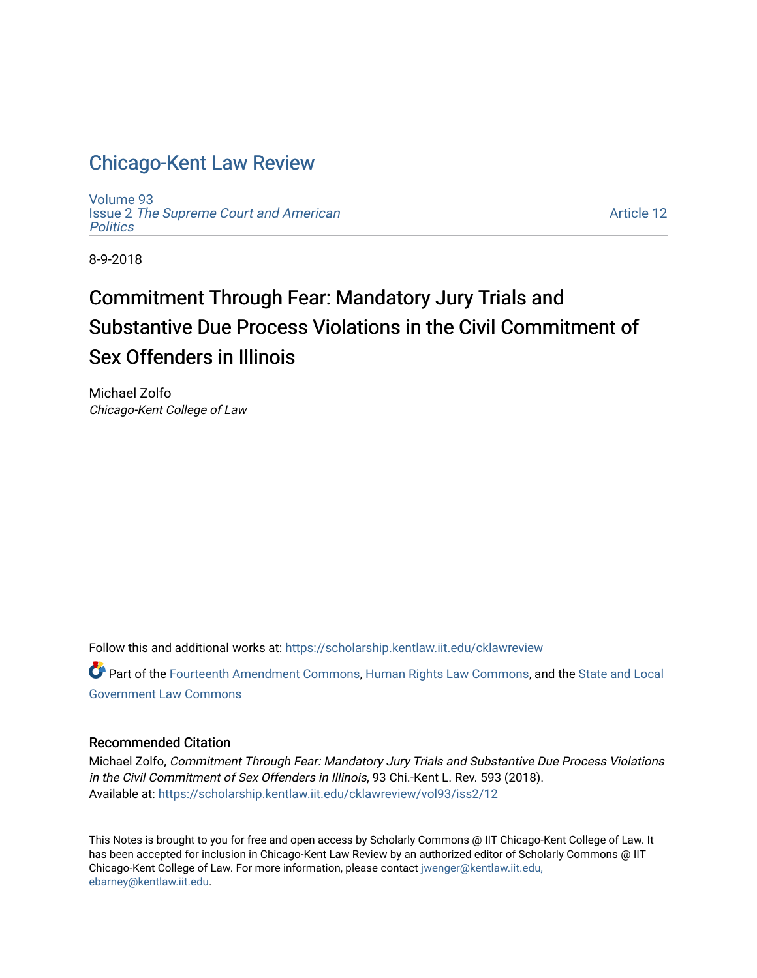## [Chicago-Kent Law Review](https://scholarship.kentlaw.iit.edu/cklawreview)

[Volume 93](https://scholarship.kentlaw.iit.edu/cklawreview/vol93) Issue 2 [The Supreme Court and American](https://scholarship.kentlaw.iit.edu/cklawreview/vol93/iss2)  **[Politics](https://scholarship.kentlaw.iit.edu/cklawreview/vol93/iss2)** 

[Article 12](https://scholarship.kentlaw.iit.edu/cklawreview/vol93/iss2/12) 

8-9-2018

# Commitment Through Fear: Mandatory Jury Trials and Substantive Due Process Violations in the Civil Commitment of Sex Offenders in Illinois

Michael Zolfo Chicago-Kent College of Law

Follow this and additional works at: [https://scholarship.kentlaw.iit.edu/cklawreview](https://scholarship.kentlaw.iit.edu/cklawreview?utm_source=scholarship.kentlaw.iit.edu%2Fcklawreview%2Fvol93%2Fiss2%2F12&utm_medium=PDF&utm_campaign=PDFCoverPages) 

Part of the [Fourteenth Amendment Commons](http://network.bepress.com/hgg/discipline/1116?utm_source=scholarship.kentlaw.iit.edu%2Fcklawreview%2Fvol93%2Fiss2%2F12&utm_medium=PDF&utm_campaign=PDFCoverPages), [Human Rights Law Commons](http://network.bepress.com/hgg/discipline/847?utm_source=scholarship.kentlaw.iit.edu%2Fcklawreview%2Fvol93%2Fiss2%2F12&utm_medium=PDF&utm_campaign=PDFCoverPages), and the [State and Local](http://network.bepress.com/hgg/discipline/879?utm_source=scholarship.kentlaw.iit.edu%2Fcklawreview%2Fvol93%2Fiss2%2F12&utm_medium=PDF&utm_campaign=PDFCoverPages) [Government Law Commons](http://network.bepress.com/hgg/discipline/879?utm_source=scholarship.kentlaw.iit.edu%2Fcklawreview%2Fvol93%2Fiss2%2F12&utm_medium=PDF&utm_campaign=PDFCoverPages) 

## Recommended Citation

Michael Zolfo, Commitment Through Fear: Mandatory Jury Trials and Substantive Due Process Violations in the Civil Commitment of Sex Offenders in Illinois, 93 Chi.-Kent L. Rev. 593 (2018). Available at: [https://scholarship.kentlaw.iit.edu/cklawreview/vol93/iss2/12](https://scholarship.kentlaw.iit.edu/cklawreview/vol93/iss2/12?utm_source=scholarship.kentlaw.iit.edu%2Fcklawreview%2Fvol93%2Fiss2%2F12&utm_medium=PDF&utm_campaign=PDFCoverPages) 

This Notes is brought to you for free and open access by Scholarly Commons @ IIT Chicago-Kent College of Law. It has been accepted for inclusion in Chicago-Kent Law Review by an authorized editor of Scholarly Commons @ IIT Chicago-Kent College of Law. For more information, please contact [jwenger@kentlaw.iit.edu,](mailto:jwenger@kentlaw.iit.edu,%20ebarney@kentlaw.iit.edu) [ebarney@kentlaw.iit.edu](mailto:jwenger@kentlaw.iit.edu,%20ebarney@kentlaw.iit.edu).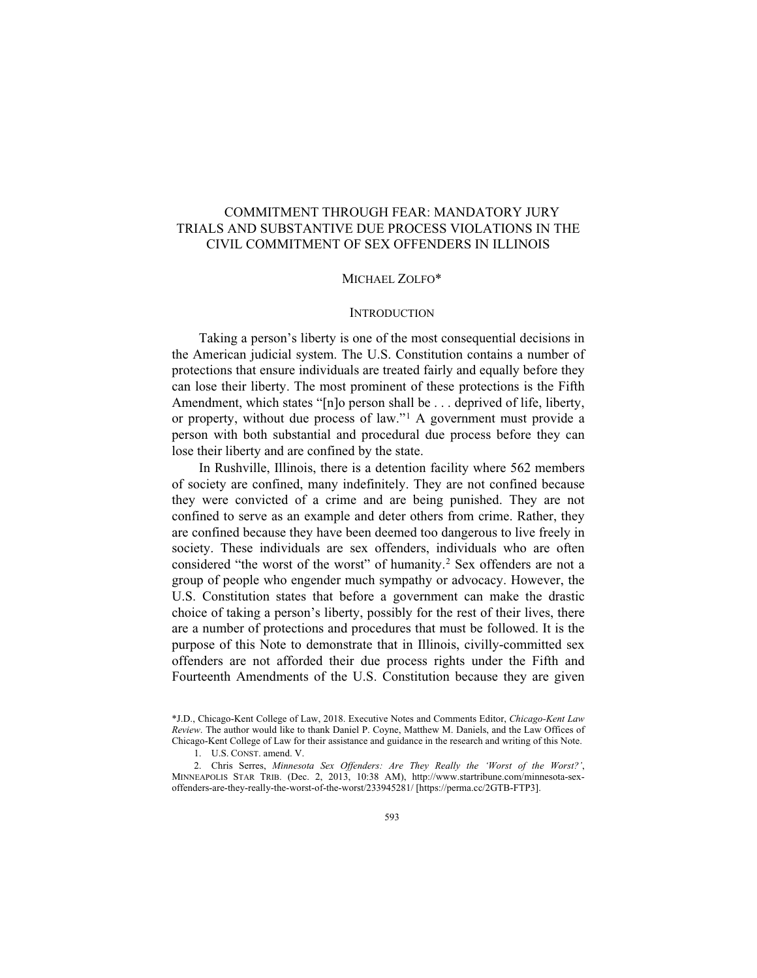## COMMITMENT THROUGH FEAR: MANDATORY JURY TRIALS AND SUBSTANTIVE DUE PROCESS VIOLATIONS IN THE CIVIL COMMITMENT OF SEX OFFENDERS IN ILLINOIS

## MICHAEL ZOLFO\*

## **INTRODUCTION**

Taking a person's liberty is one of the most consequential decisions in the American judicial system. The U.S. Constitution contains a number of protections that ensure individuals are treated fairly and equally before they can lose their liberty. The most prominent of these protections is the Fifth Amendment, which states "[n]o person shall be . . . deprived of life, liberty, or property, without due process of law."1 A government must provide a person with both substantial and procedural due process before they can lose their liberty and are confined by the state.

In Rushville, Illinois, there is a detention facility where 562 members of society are confined, many indefinitely. They are not confined because they were convicted of a crime and are being punished. They are not confined to serve as an example and deter others from crime. Rather, they are confined because they have been deemed too dangerous to live freely in society. These individuals are sex offenders, individuals who are often considered "the worst of the worst" of humanity.2 Sex offenders are not a group of people who engender much sympathy or advocacy. However, the U.S. Constitution states that before a government can make the drastic choice of taking a person's liberty, possibly for the rest of their lives, there are a number of protections and procedures that must be followed. It is the purpose of this Note to demonstrate that in Illinois, civilly-committed sex offenders are not afforded their due process rights under the Fifth and Fourteenth Amendments of the U.S. Constitution because they are given

<sup>\*</sup>J.D., Chicago-Kent College of Law, 2018. Executive Notes and Comments Editor, *Chicago-Kent Law Review*. The author would like to thank Daniel P. Coyne, Matthew M. Daniels, and the Law Offices of Chicago-Kent College of Law for their assistance and guidance in the research and writing of this Note.

<sup>1.</sup> U.S. CONST. amend. V.

<sup>2.</sup> Chris Serres, *Minnesota Sex Offenders: Are They Really the 'Worst of the Worst?'*, MINNEAPOLIS STAR TRIB. (Dec. 2, 2013, 10:38 AM), http://www.startribune.com/minnesota-sexoffenders-are-they-really-the-worst-of-the-worst/233945281/ [https://perma.cc/2GTB-FTP3].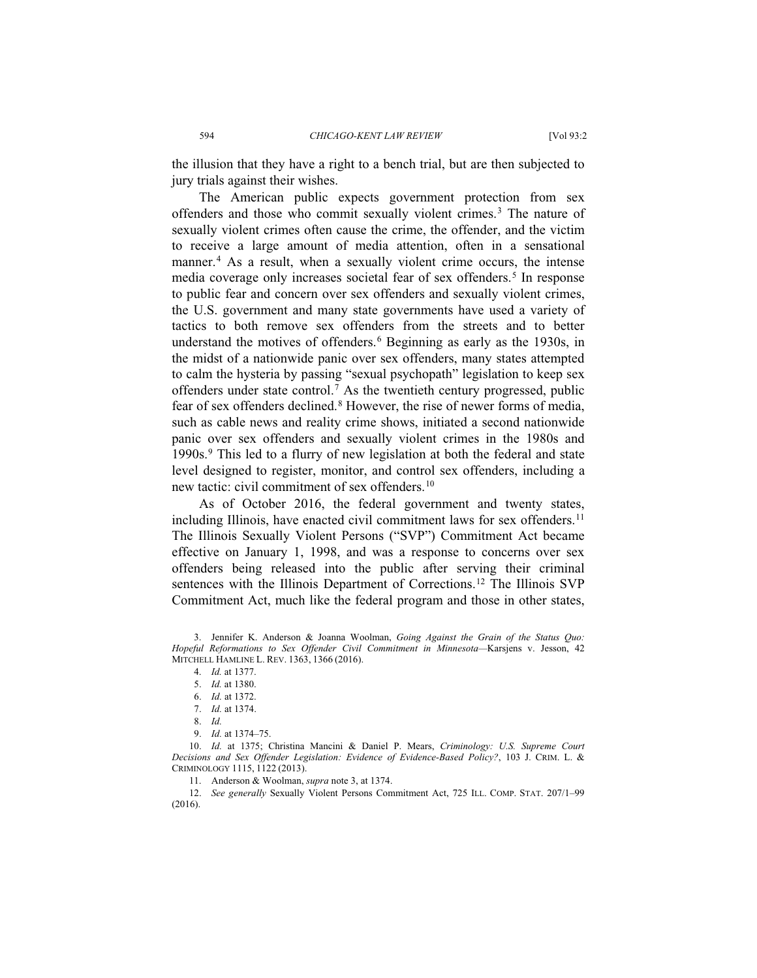the illusion that they have a right to a bench trial, but are then subjected to jury trials against their wishes.

The American public expects government protection from sex offenders and those who commit sexually violent crimes.<sup>3</sup> The nature of sexually violent crimes often cause the crime, the offender, and the victim to receive a large amount of media attention, often in a sensational manner.<sup>4</sup> As a result, when a sexually violent crime occurs, the intense media coverage only increases societal fear of sex offenders.<sup>5</sup> In response to public fear and concern over sex offenders and sexually violent crimes, the U.S. government and many state governments have used a variety of tactics to both remove sex offenders from the streets and to better understand the motives of offenders.6 Beginning as early as the 1930s, in the midst of a nationwide panic over sex offenders, many states attempted to calm the hysteria by passing "sexual psychopath" legislation to keep sex offenders under state control.7 As the twentieth century progressed, public fear of sex offenders declined.<sup>8</sup> However, the rise of newer forms of media, such as cable news and reality crime shows, initiated a second nationwide panic over sex offenders and sexually violent crimes in the 1980s and 1990s.9 This led to a flurry of new legislation at both the federal and state level designed to register, monitor, and control sex offenders, including a new tactic: civil commitment of sex offenders.10

As of October 2016, the federal government and twenty states, including Illinois, have enacted civil commitment laws for sex offenders.<sup>11</sup> The Illinois Sexually Violent Persons ("SVP") Commitment Act became effective on January 1, 1998, and was a response to concerns over sex offenders being released into the public after serving their criminal sentences with the Illinois Department of Corrections.<sup>12</sup> The Illinois SVP Commitment Act, much like the federal program and those in other states,

11. Anderson & Woolman, *supra* note 3, at 1374.

12. *See generally* Sexually Violent Persons Commitment Act, 725 ILL. COMP. STAT. 207/1–99 (2016).

<sup>3.</sup> Jennifer K. Anderson & Joanna Woolman, *Going Against the Grain of the Status Quo: Hopeful Reformations to Sex Offender Civil Commitment in Minnesota—*Karsjens v. Jesson, 42 MITCHELL HAMLINE L. REV. 1363, 1366 (2016).

<sup>4.</sup> *Id.* at 1377.

<sup>5.</sup> *Id.* at 1380.

<sup>6.</sup> *Id.* at 1372.

<sup>7.</sup> *Id.* at 1374.

<sup>8.</sup> *Id.*

<sup>9.</sup> *Id.* at 1374–75.

<sup>10.</sup> *Id.* at 1375; Christina Mancini & Daniel P. Mears, *Criminology: U.S. Supreme Court Decisions and Sex Offender Legislation: Evidence of Evidence-Based Policy?*, 103 J. CRIM. L. & CRIMINOLOGY 1115, 1122 (2013).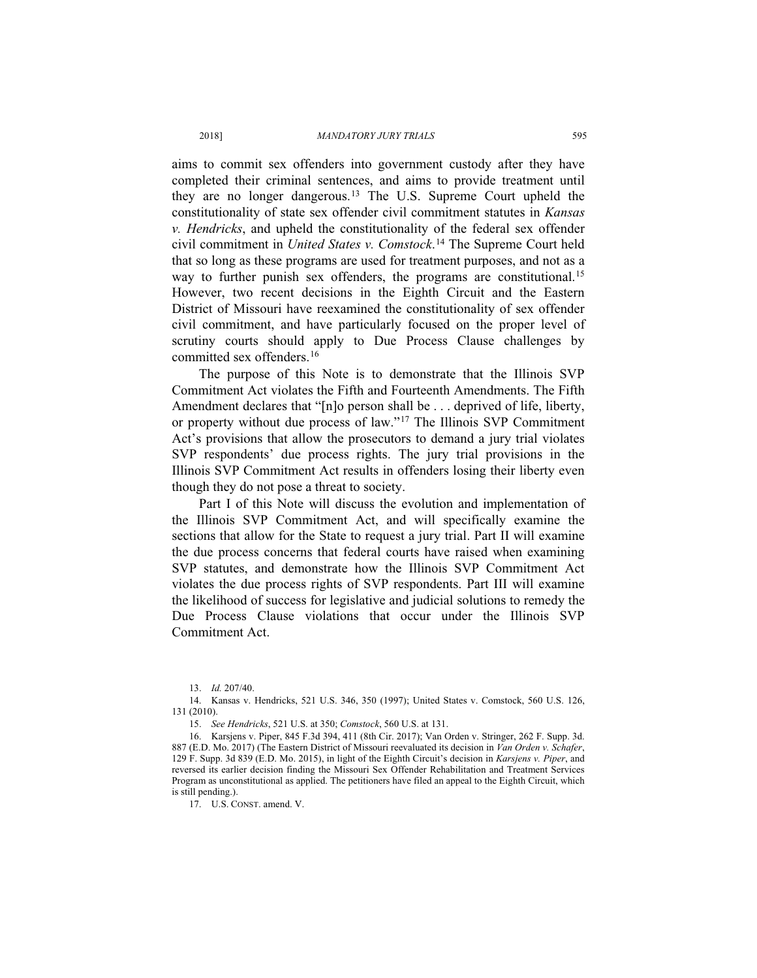#### 2018] *MANDATORY JURY TRIALS* 595

aims to commit sex offenders into government custody after they have completed their criminal sentences, and aims to provide treatment until they are no longer dangerous.13 The U.S. Supreme Court upheld the constitutionality of state sex offender civil commitment statutes in *Kansas v. Hendricks*, and upheld the constitutionality of the federal sex offender civil commitment in *United States v. Comstock*. <sup>14</sup> The Supreme Court held that so long as these programs are used for treatment purposes, and not as a way to further punish sex offenders, the programs are constitutional.15 However, two recent decisions in the Eighth Circuit and the Eastern District of Missouri have reexamined the constitutionality of sex offender civil commitment, and have particularly focused on the proper level of scrutiny courts should apply to Due Process Clause challenges by committed sex offenders.<sup>16</sup>

The purpose of this Note is to demonstrate that the Illinois SVP Commitment Act violates the Fifth and Fourteenth Amendments. The Fifth Amendment declares that "[n]o person shall be . . . deprived of life, liberty, or property without due process of law."17 The Illinois SVP Commitment Act's provisions that allow the prosecutors to demand a jury trial violates SVP respondents' due process rights. The jury trial provisions in the Illinois SVP Commitment Act results in offenders losing their liberty even though they do not pose a threat to society.

Part I of this Note will discuss the evolution and implementation of the Illinois SVP Commitment Act, and will specifically examine the sections that allow for the State to request a jury trial. Part II will examine the due process concerns that federal courts have raised when examining SVP statutes, and demonstrate how the Illinois SVP Commitment Act violates the due process rights of SVP respondents. Part III will examine the likelihood of success for legislative and judicial solutions to remedy the Due Process Clause violations that occur under the Illinois SVP Commitment Act.

13. *Id.* 207/40.

14. Kansas v. Hendricks, 521 U.S. 346, 350 (1997); United States v. Comstock, 560 U.S. 126, 131 (2010).

15. *See Hendricks*, 521 U.S. at 350; *Comstock*, 560 U.S. at 131.

16. Karsjens v. Piper, 845 F.3d 394, 411 (8th Cir. 2017); Van Orden v. Stringer, 262 F. Supp. 3d. 887 (E.D. Mo. 2017) (The Eastern District of Missouri reevaluated its decision in *Van Orden v. Schafer*, 129 F. Supp. 3d 839 (E.D. Mo. 2015), in light of the Eighth Circuit's decision in *Karsjens v. Piper*, and reversed its earlier decision finding the Missouri Sex Offender Rehabilitation and Treatment Services Program as unconstitutional as applied. The petitioners have filed an appeal to the Eighth Circuit, which is still pending.).

17. U.S. CONST. amend. V.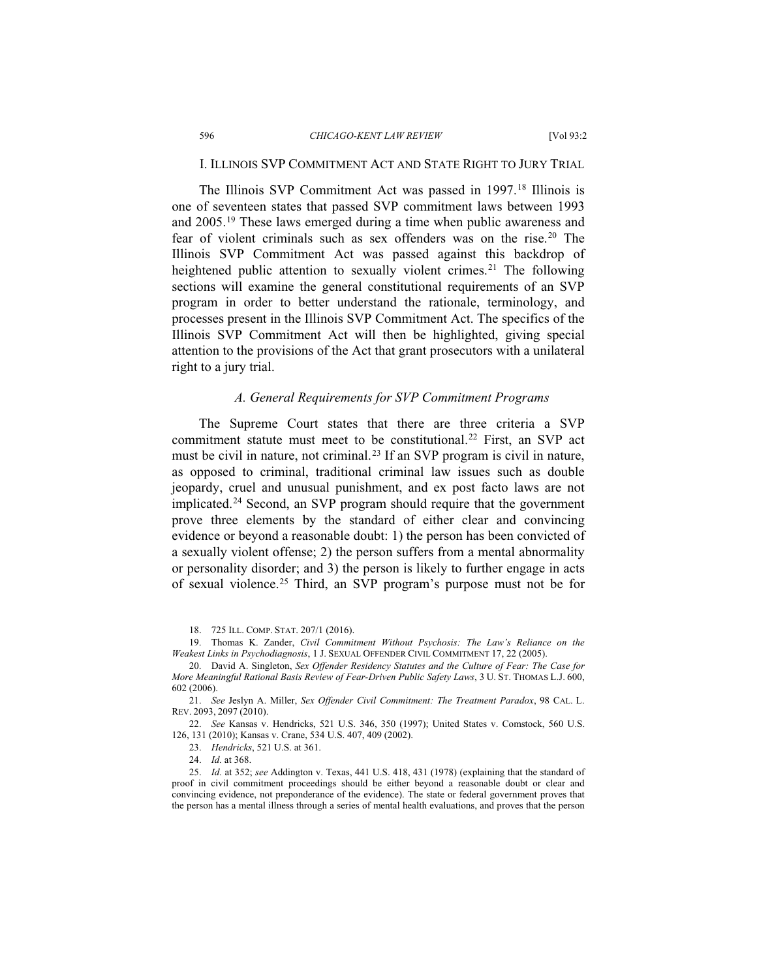## I. ILLINOIS SVP COMMITMENT ACT AND STATE RIGHT TO JURY TRIAL

The Illinois SVP Commitment Act was passed in 1997.<sup>18</sup> Illinois is one of seventeen states that passed SVP commitment laws between 1993 and 2005.19 These laws emerged during a time when public awareness and fear of violent criminals such as sex offenders was on the rise.20 The Illinois SVP Commitment Act was passed against this backdrop of heightened public attention to sexually violent crimes.<sup>21</sup> The following sections will examine the general constitutional requirements of an SVP program in order to better understand the rationale, terminology, and processes present in the Illinois SVP Commitment Act. The specifics of the Illinois SVP Commitment Act will then be highlighted, giving special attention to the provisions of the Act that grant prosecutors with a unilateral right to a jury trial.

## *A. General Requirements for SVP Commitment Programs*

The Supreme Court states that there are three criteria a SVP commitment statute must meet to be constitutional.<sup>22</sup> First, an SVP act must be civil in nature, not criminal.<sup>23</sup> If an SVP program is civil in nature, as opposed to criminal, traditional criminal law issues such as double jeopardy, cruel and unusual punishment, and ex post facto laws are not implicated.24 Second, an SVP program should require that the government prove three elements by the standard of either clear and convincing evidence or beyond a reasonable doubt: 1) the person has been convicted of a sexually violent offense; 2) the person suffers from a mental abnormality or personality disorder; and 3) the person is likely to further engage in acts of sexual violence.25 Third, an SVP program's purpose must not be for

18. 725 ILL. COMP. STAT. 207/1 (2016).

<sup>19.</sup> Thomas K. Zander, *Civil Commitment Without Psychosis: The Law's Reliance on the Weakest Links in Psychodiagnosis*, 1 J. SEXUAL OFFENDER CIVIL COMMITMENT 17, 22 (2005).

<sup>20.</sup> David A. Singleton, *Sex Offender Residency Statutes and the Culture of Fear: The Case for More Meaningful Rational Basis Review of Fear-Driven Public Safety Laws*, 3 U. ST. THOMAS L.J. 600, 602 (2006).

<sup>21.</sup> *See* Jeslyn A. Miller, *Sex Offender Civil Commitment: The Treatment Paradox*, 98 CAL. L. REV. 2093, 2097 (2010).

<sup>22.</sup> *See* Kansas v. Hendricks, 521 U.S. 346, 350 (1997); United States v. Comstock, 560 U.S. 126, 131 (2010); Kansas v. Crane, 534 U.S. 407, 409 (2002).

<sup>23.</sup> *Hendricks*, 521 U.S. at 361.

<sup>24.</sup> *Id.* at 368.

<sup>25.</sup> *Id.* at 352; *see* Addington v. Texas, 441 U.S. 418, 431 (1978) (explaining that the standard of proof in civil commitment proceedings should be either beyond a reasonable doubt or clear and convincing evidence, not preponderance of the evidence). The state or federal government proves that the person has a mental illness through a series of mental health evaluations, and proves that the person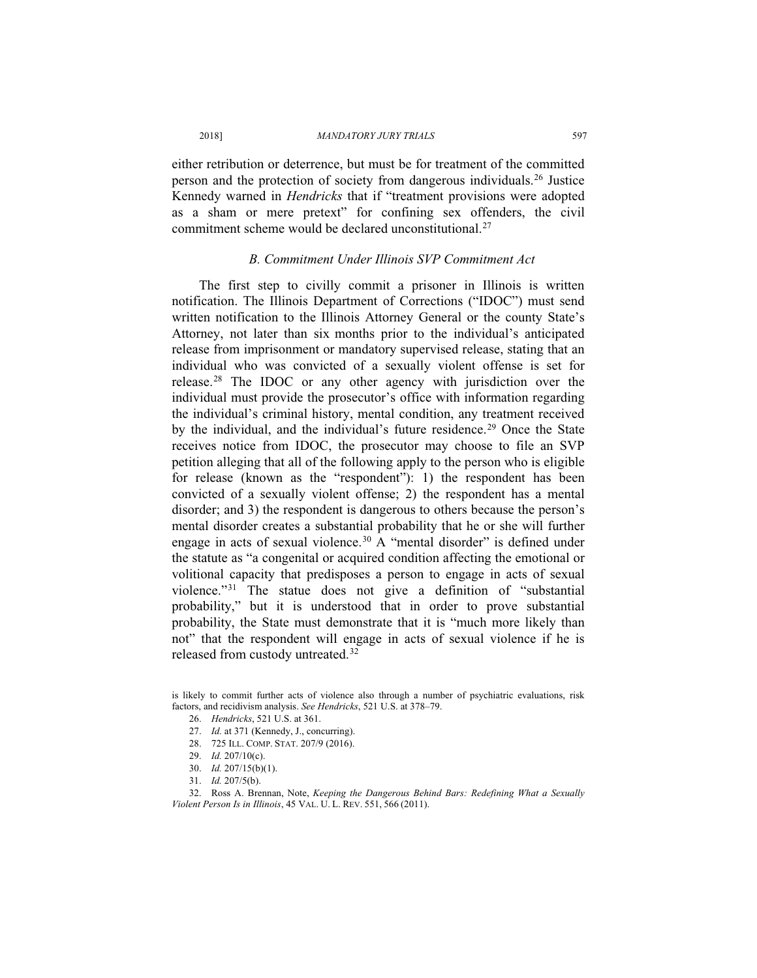either retribution or deterrence, but must be for treatment of the committed person and the protection of society from dangerous individuals.26 Justice Kennedy warned in *Hendricks* that if "treatment provisions were adopted as a sham or mere pretext" for confining sex offenders, the civil

commitment scheme would be declared unconstitutional.27

#### *B. Commitment Under Illinois SVP Commitment Act*

The first step to civilly commit a prisoner in Illinois is written notification. The Illinois Department of Corrections ("IDOC") must send written notification to the Illinois Attorney General or the county State's Attorney, not later than six months prior to the individual's anticipated release from imprisonment or mandatory supervised release, stating that an individual who was convicted of a sexually violent offense is set for release.28 The IDOC or any other agency with jurisdiction over the individual must provide the prosecutor's office with information regarding the individual's criminal history, mental condition, any treatment received by the individual, and the individual's future residence.<sup>29</sup> Once the State receives notice from IDOC, the prosecutor may choose to file an SVP petition alleging that all of the following apply to the person who is eligible for release (known as the "respondent"): 1) the respondent has been convicted of a sexually violent offense; 2) the respondent has a mental disorder; and 3) the respondent is dangerous to others because the person's mental disorder creates a substantial probability that he or she will further engage in acts of sexual violence.<sup>30</sup> A "mental disorder" is defined under the statute as "a congenital or acquired condition affecting the emotional or volitional capacity that predisposes a person to engage in acts of sexual violence."31 The statue does not give a definition of "substantial probability," but it is understood that in order to prove substantial probability, the State must demonstrate that it is "much more likely than not" that the respondent will engage in acts of sexual violence if he is released from custody untreated.32

is likely to commit further acts of violence also through a number of psychiatric evaluations, risk factors, and recidivism analysis. *See Hendricks*, 521 U.S. at 378–79.

<sup>26.</sup> *Hendricks*, 521 U.S. at 361.

<sup>27.</sup> *Id.* at 371 (Kennedy, J., concurring).

<sup>28. 725</sup> ILL. COMP. STAT. 207/9 (2016).

<sup>29.</sup> *Id.* 207/10(c).

<sup>30.</sup> *Id.* 207/15(b)(1).

<sup>31.</sup> *Id.* 207/5(b).

<sup>32.</sup> Ross A. Brennan, Note, *Keeping the Dangerous Behind Bars: Redefining What a Sexually Violent Person Is in Illinois*, 45 VAL. U. L. REV. 551, 566 (2011).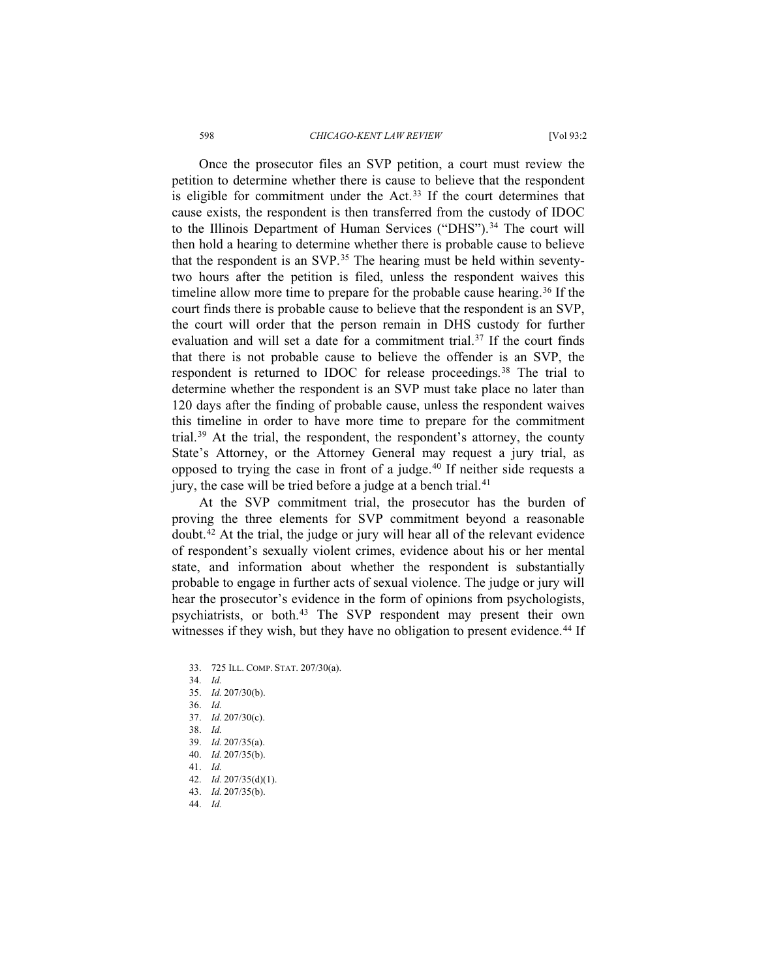#### 598 *CHICAGO-KENT LAW REVIEW* [Vol 93:2

Once the prosecutor files an SVP petition, a court must review the petition to determine whether there is cause to believe that the respondent is eligible for commitment under the Act.<sup>33</sup> If the court determines that cause exists, the respondent is then transferred from the custody of IDOC to the Illinois Department of Human Services ("DHS").<sup>34</sup> The court will then hold a hearing to determine whether there is probable cause to believe that the respondent is an SVP.35 The hearing must be held within seventytwo hours after the petition is filed, unless the respondent waives this timeline allow more time to prepare for the probable cause hearing.<sup>36</sup> If the court finds there is probable cause to believe that the respondent is an SVP, the court will order that the person remain in DHS custody for further evaluation and will set a date for a commitment trial.<sup>37</sup> If the court finds that there is not probable cause to believe the offender is an SVP, the respondent is returned to IDOC for release proceedings.<sup>38</sup> The trial to determine whether the respondent is an SVP must take place no later than 120 days after the finding of probable cause, unless the respondent waives this timeline in order to have more time to prepare for the commitment trial.<sup>39</sup> At the trial, the respondent, the respondent's attorney, the county State's Attorney, or the Attorney General may request a jury trial, as opposed to trying the case in front of a judge.40 If neither side requests a jury, the case will be tried before a judge at a bench trial. $41$ 

At the SVP commitment trial, the prosecutor has the burden of proving the three elements for SVP commitment beyond a reasonable doubt.42 At the trial, the judge or jury will hear all of the relevant evidence of respondent's sexually violent crimes, evidence about his or her mental state, and information about whether the respondent is substantially probable to engage in further acts of sexual violence. The judge or jury will hear the prosecutor's evidence in the form of opinions from psychologists, psychiatrists, or both.43 The SVP respondent may present their own witnesses if they wish, but they have no obligation to present evidence.<sup>44</sup> If

- 33. 725 ILL. COMP. STAT. 207/30(a).
- 34. *Id.*
- 35. *Id.* 207/30(b).
- 36. *Id.*
- 37. *Id.* 207/30(c).
- 38. *Id.*
- 39. *Id.* 207/35(a).
- 40. *Id.* 207/35(b).
- 41. *Id.*
- 42. *Id.* 207/35(d)(1).
- 43. *Id.* 207/35(b).
- 44. *Id.*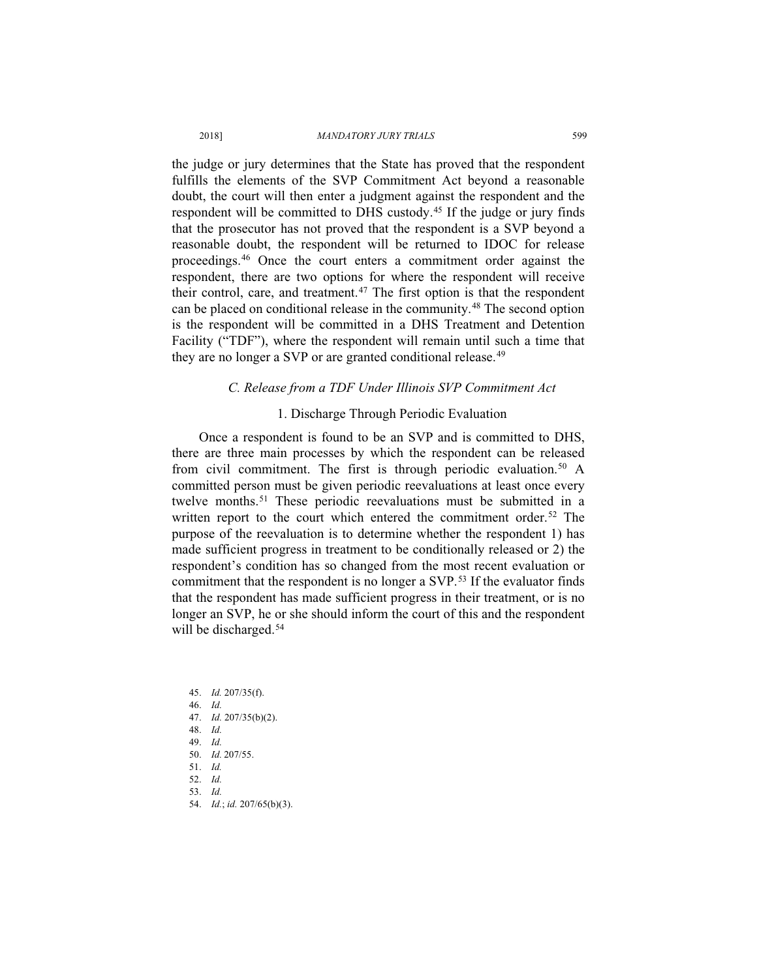#### 2018] *MANDATORY JURY TRIALS* 599

the judge or jury determines that the State has proved that the respondent fulfills the elements of the SVP Commitment Act beyond a reasonable doubt, the court will then enter a judgment against the respondent and the respondent will be committed to DHS custody.45 If the judge or jury finds that the prosecutor has not proved that the respondent is a SVP beyond a reasonable doubt, the respondent will be returned to IDOC for release proceedings.46 Once the court enters a commitment order against the respondent, there are two options for where the respondent will receive their control, care, and treatment. $47$  The first option is that the respondent can be placed on conditional release in the community.48 The second option is the respondent will be committed in a DHS Treatment and Detention Facility ("TDF"), where the respondent will remain until such a time that they are no longer a SVP or are granted conditional release.<sup>49</sup>

## *C. Release from a TDF Under Illinois SVP Commitment Act*

## 1. Discharge Through Periodic Evaluation

Once a respondent is found to be an SVP and is committed to DHS, there are three main processes by which the respondent can be released from civil commitment. The first is through periodic evaluation.<sup>50</sup> A committed person must be given periodic reevaluations at least once every twelve months.51 These periodic reevaluations must be submitted in a written report to the court which entered the commitment order.<sup>52</sup> The purpose of the reevaluation is to determine whether the respondent 1) has made sufficient progress in treatment to be conditionally released or 2) the respondent's condition has so changed from the most recent evaluation or commitment that the respondent is no longer a SVP.<sup>53</sup> If the evaluator finds that the respondent has made sufficient progress in their treatment, or is no longer an SVP, he or she should inform the court of this and the respondent will be discharged.<sup>54</sup>

- 45. *Id.* 207/35(f).
- 46. *Id.*
- 47. *Id.* 207/35(b)(2).
- 48. *Id.*
- 49. *Id.*
- 50. *Id.* 207/55.
- 51. *Id.* 52. *Id.*
- 53. *Id.*
- 54. *Id.*; *id.* 207/65(b)(3).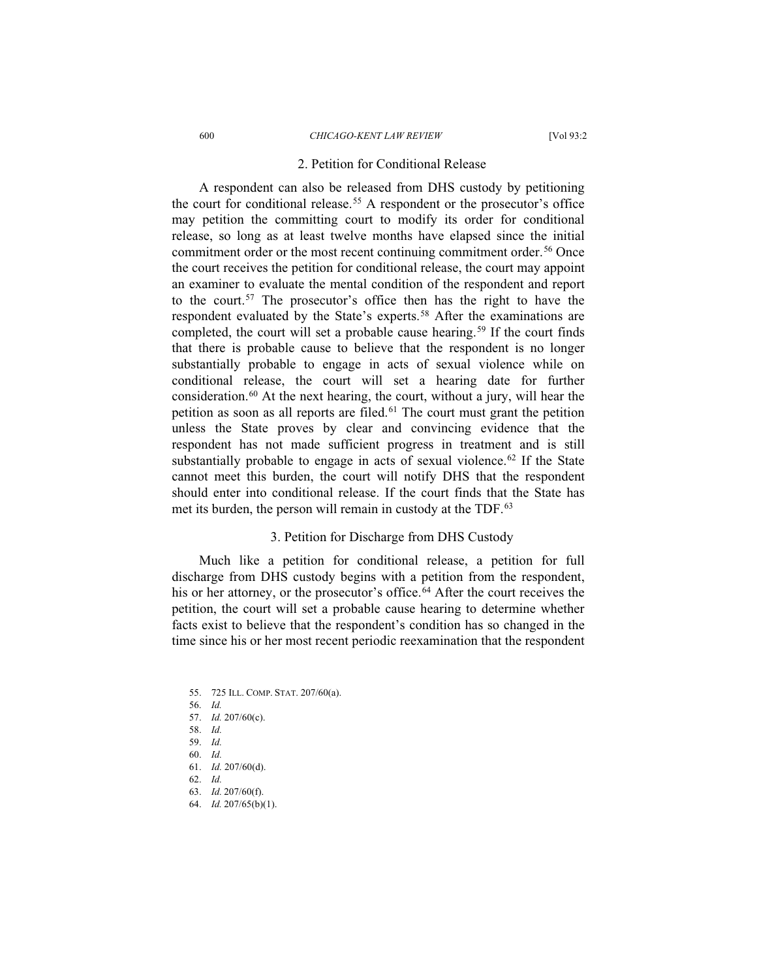#### 600 *CHICAGO-KENT LAW REVIEW* [Vol 93:2

## 2. Petition for Conditional Release

A respondent can also be released from DHS custody by petitioning the court for conditional release.<sup>55</sup> A respondent or the prosecutor's office may petition the committing court to modify its order for conditional release, so long as at least twelve months have elapsed since the initial commitment order or the most recent continuing commitment order.<sup>56</sup> Once the court receives the petition for conditional release, the court may appoint an examiner to evaluate the mental condition of the respondent and report to the court.<sup>57</sup> The prosecutor's office then has the right to have the respondent evaluated by the State's experts.<sup>58</sup> After the examinations are completed, the court will set a probable cause hearing.<sup>59</sup> If the court finds that there is probable cause to believe that the respondent is no longer substantially probable to engage in acts of sexual violence while on conditional release, the court will set a hearing date for further consideration.60 At the next hearing, the court, without a jury, will hear the petition as soon as all reports are filed.<sup>61</sup> The court must grant the petition unless the State proves by clear and convincing evidence that the respondent has not made sufficient progress in treatment and is still substantially probable to engage in acts of sexual violence.<sup>62</sup> If the State cannot meet this burden, the court will notify DHS that the respondent should enter into conditional release. If the court finds that the State has met its burden, the person will remain in custody at the TDF.<sup>63</sup>

## 3. Petition for Discharge from DHS Custody

Much like a petition for conditional release, a petition for full discharge from DHS custody begins with a petition from the respondent, his or her attorney, or the prosecutor's office.<sup>64</sup> After the court receives the petition, the court will set a probable cause hearing to determine whether facts exist to believe that the respondent's condition has so changed in the time since his or her most recent periodic reexamination that the respondent

- 55. 725 ILL. COMP. STAT. 207/60(a).
- 56. *Id.*
- 57. *Id.* 207/60(c).
- 58. *Id.*
- 59. *Id.* 60. *Id.*
- 61. *Id.* 207/60(d).
- 62. *Id.*
- 63. *Id.* 207/60(f).
- 64. *Id.* 207/65(b)(1).
-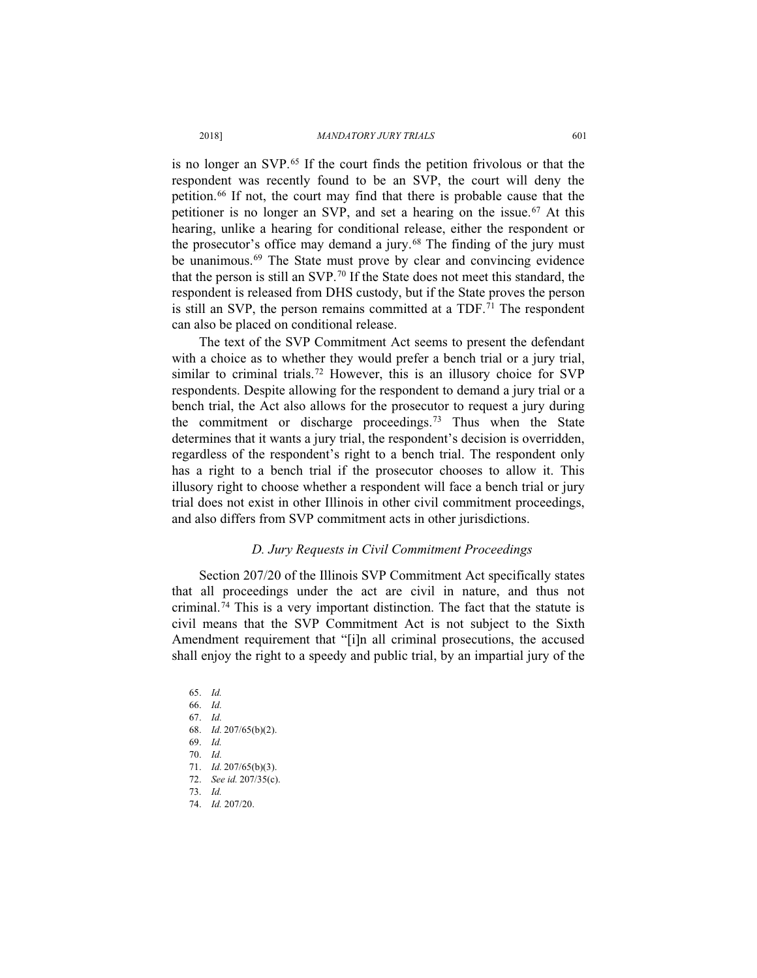#### 2018] *MANDATORY JURY TRIALS* 601

is no longer an SVP.65 If the court finds the petition frivolous or that the respondent was recently found to be an SVP, the court will deny the petition.66 If not, the court may find that there is probable cause that the petitioner is no longer an SVP, and set a hearing on the issue.<sup>67</sup> At this hearing, unlike a hearing for conditional release, either the respondent or the prosecutor's office may demand a jury.<sup>68</sup> The finding of the jury must be unanimous.<sup>69</sup> The State must prove by clear and convincing evidence that the person is still an SVP.70 If the State does not meet this standard, the respondent is released from DHS custody, but if the State proves the person is still an SVP, the person remains committed at a TDF.<sup>71</sup> The respondent can also be placed on conditional release.

The text of the SVP Commitment Act seems to present the defendant with a choice as to whether they would prefer a bench trial or a jury trial, similar to criminal trials.<sup>72</sup> However, this is an illusory choice for SVP respondents. Despite allowing for the respondent to demand a jury trial or a bench trial, the Act also allows for the prosecutor to request a jury during the commitment or discharge proceedings.<sup>73</sup> Thus when the State determines that it wants a jury trial, the respondent's decision is overridden, regardless of the respondent's right to a bench trial. The respondent only has a right to a bench trial if the prosecutor chooses to allow it. This illusory right to choose whether a respondent will face a bench trial or jury trial does not exist in other Illinois in other civil commitment proceedings, and also differs from SVP commitment acts in other jurisdictions.

## *D. Jury Requests in Civil Commitment Proceedings*

Section 207/20 of the Illinois SVP Commitment Act specifically states that all proceedings under the act are civil in nature, and thus not criminal.74 This is a very important distinction. The fact that the statute is civil means that the SVP Commitment Act is not subject to the Sixth Amendment requirement that "[i]n all criminal prosecutions, the accused shall enjoy the right to a speedy and public trial, by an impartial jury of the

65. *Id.* 66. *Id.* 67. *Id.* 68. *Id.* 207/65(b)(2). 69. *Id.* 70. *Id.* 71. *Id.* 207/65(b)(3). 72. *See id.* 207/35(c). 73. *Id.* 74. *Id.* 207/20.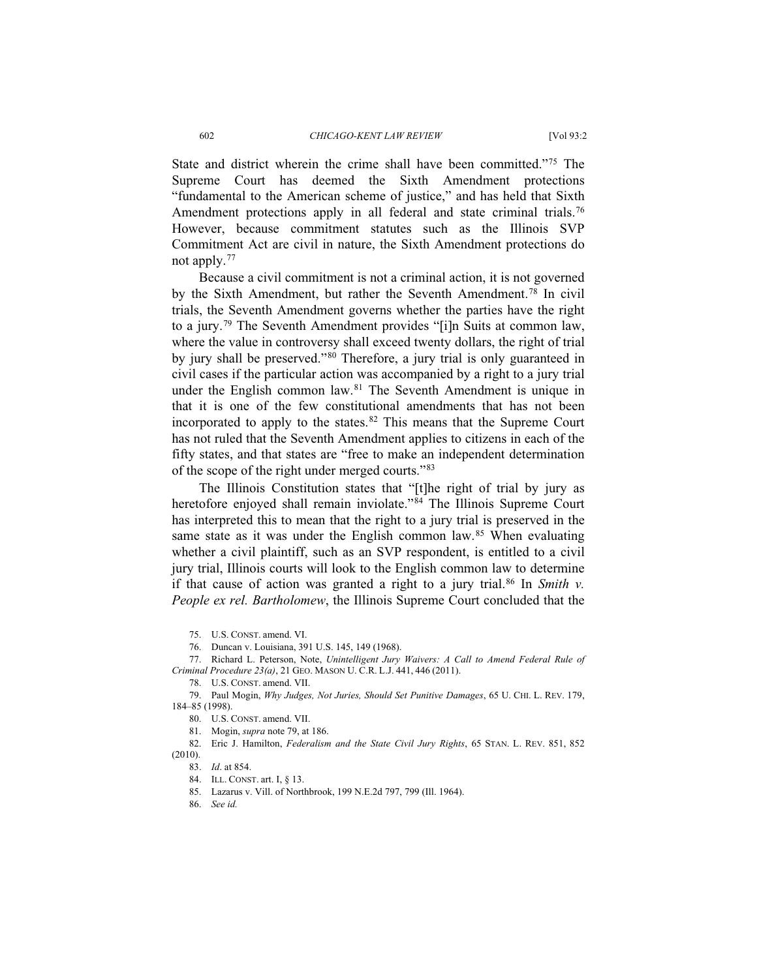State and district wherein the crime shall have been committed."75 The Supreme Court has deemed the Sixth Amendment protections "fundamental to the American scheme of justice," and has held that Sixth Amendment protections apply in all federal and state criminal trials.<sup>76</sup> However, because commitment statutes such as the Illinois SVP Commitment Act are civil in nature, the Sixth Amendment protections do not apply.77

Because a civil commitment is not a criminal action, it is not governed by the Sixth Amendment, but rather the Seventh Amendment.78 In civil trials, the Seventh Amendment governs whether the parties have the right to a jury.79 The Seventh Amendment provides "[i]n Suits at common law, where the value in controversy shall exceed twenty dollars, the right of trial by jury shall be preserved."80 Therefore, a jury trial is only guaranteed in civil cases if the particular action was accompanied by a right to a jury trial under the English common law.81 The Seventh Amendment is unique in that it is one of the few constitutional amendments that has not been incorporated to apply to the states. $82$  This means that the Supreme Court has not ruled that the Seventh Amendment applies to citizens in each of the fifty states, and that states are "free to make an independent determination of the scope of the right under merged courts."83

The Illinois Constitution states that "[t]he right of trial by jury as heretofore enjoyed shall remain inviolate."<sup>84</sup> The Illinois Supreme Court has interpreted this to mean that the right to a jury trial is preserved in the same state as it was under the English common law.<sup>85</sup> When evaluating whether a civil plaintiff, such as an SVP respondent, is entitled to a civil jury trial, Illinois courts will look to the English common law to determine if that cause of action was granted a right to a jury trial.86 In *Smith v. People ex rel. Bartholomew*, the Illinois Supreme Court concluded that the

78. U.S. CONST. amend. VII.

80. U.S. CONST. amend. VII.

82. Eric J. Hamilton, *Federalism and the State Civil Jury Rights*, 65 STAN. L. REV. 851, 852 (2010).

83. *Id*. at 854.

84. ILL. CONST. art. I, § 13.

85. Lazarus v. Vill. of Northbrook, 199 N.E.2d 797, 799 (Ill. 1964).

86. *See id.*

<sup>75.</sup> U.S. CONST. amend. VI.

<sup>76.</sup> Duncan v. Louisiana, 391 U.S. 145, 149 (1968).

<sup>77.</sup> Richard L. Peterson, Note, *Unintelligent Jury Waivers: A Call to Amend Federal Rule of Criminal Procedure 23(a)*, 21 GEO. MASON U. C.R. L.J. 441, 446 (2011).

<sup>79.</sup> Paul Mogin, *Why Judges, Not Juries, Should Set Punitive Damages*, 65 U. CHI. L. REV. 179, 184–85 (1998).

<sup>81.</sup> Mogin, *supra* note 79, at 186.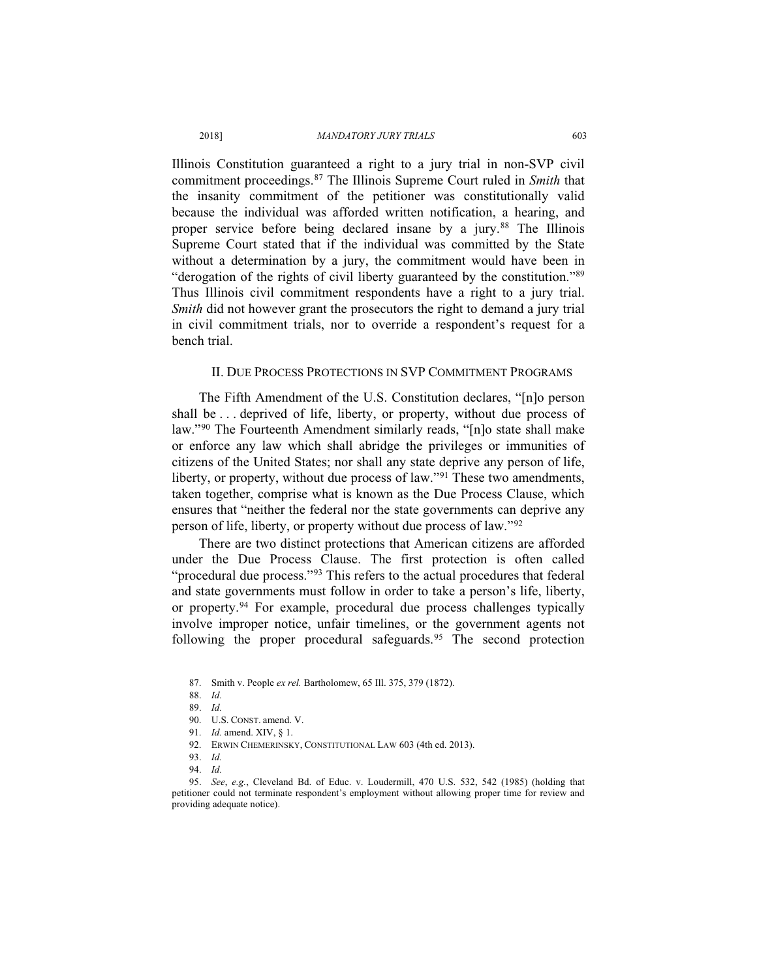#### 2018] *MANDATORY JURY TRIALS* 603

Illinois Constitution guaranteed a right to a jury trial in non-SVP civil commitment proceedings.87 The Illinois Supreme Court ruled in *Smith* that the insanity commitment of the petitioner was constitutionally valid because the individual was afforded written notification, a hearing, and proper service before being declared insane by a jury.<sup>88</sup> The Illinois Supreme Court stated that if the individual was committed by the State without a determination by a jury, the commitment would have been in "derogation of the rights of civil liberty guaranteed by the constitution."89 Thus Illinois civil commitment respondents have a right to a jury trial. *Smith* did not however grant the prosecutors the right to demand a jury trial in civil commitment trials, nor to override a respondent's request for a bench trial.

#### II. DUE PROCESS PROTECTIONS IN SVP COMMITMENT PROGRAMS

The Fifth Amendment of the U.S. Constitution declares, "[n]o person shall be . . . deprived of life, liberty, or property, without due process of law."90 The Fourteenth Amendment similarly reads, "[n]o state shall make or enforce any law which shall abridge the privileges or immunities of citizens of the United States; nor shall any state deprive any person of life, liberty, or property, without due process of law."<sup>91</sup> These two amendments, taken together, comprise what is known as the Due Process Clause, which ensures that "neither the federal nor the state governments can deprive any person of life, liberty, or property without due process of law."92

There are two distinct protections that American citizens are afforded under the Due Process Clause. The first protection is often called "procedural due process."<sup>93</sup> This refers to the actual procedures that federal and state governments must follow in order to take a person's life, liberty, or property.94 For example, procedural due process challenges typically involve improper notice, unfair timelines, or the government agents not following the proper procedural safeguards.<sup>95</sup> The second protection

<sup>87.</sup> Smith v. People *ex rel.* Bartholomew, 65 Ill. 375, 379 (1872).

<sup>88.</sup> *Id.*

<sup>89.</sup> *Id.*

<sup>90.</sup> U.S. CONST. amend. V.

<sup>91.</sup> *Id.* amend. XIV, § 1.

<sup>92.</sup> ERWIN CHEMERINSKY, CONSTITUTIONAL LAW 603 (4th ed. 2013).

<sup>93.</sup> *Id.*

<sup>94.</sup> *Id.*

<sup>95.</sup> *See*, *e.g.*, Cleveland Bd. of Educ. v. Loudermill, 470 U.S. 532, 542 (1985) (holding that petitioner could not terminate respondent's employment without allowing proper time for review and providing adequate notice).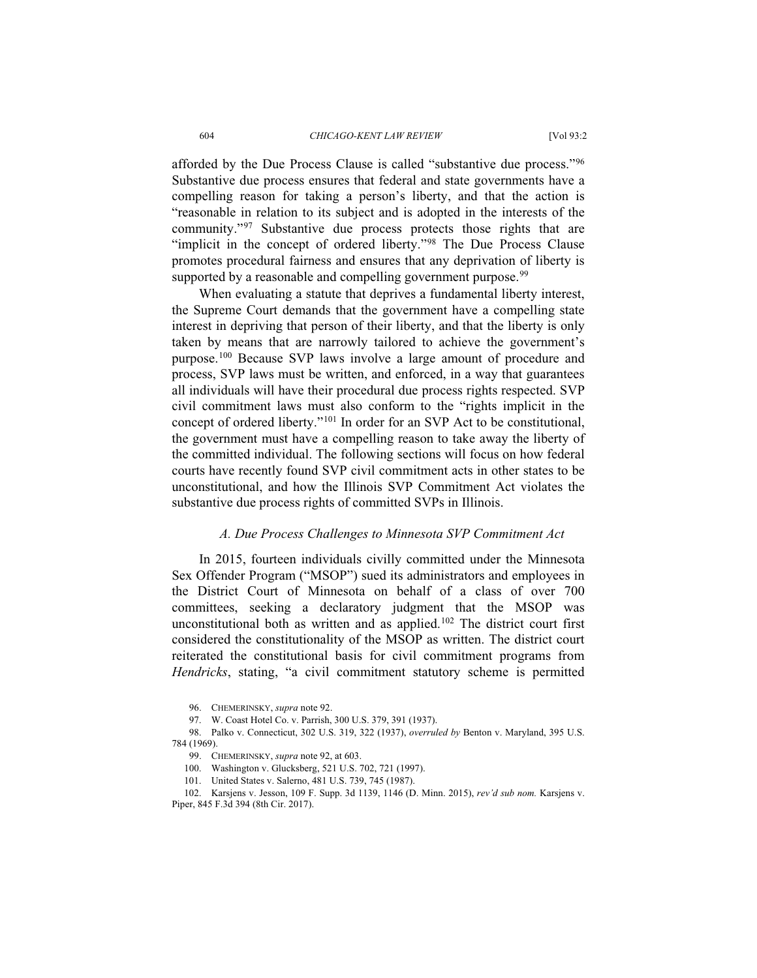afforded by the Due Process Clause is called "substantive due process."96 Substantive due process ensures that federal and state governments have a compelling reason for taking a person's liberty, and that the action is "reasonable in relation to its subject and is adopted in the interests of the community."97 Substantive due process protects those rights that are "implicit in the concept of ordered liberty."<sup>98</sup> The Due Process Clause promotes procedural fairness and ensures that any deprivation of liberty is supported by a reasonable and compelling government purpose.<sup>99</sup>

When evaluating a statute that deprives a fundamental liberty interest, the Supreme Court demands that the government have a compelling state interest in depriving that person of their liberty, and that the liberty is only taken by means that are narrowly tailored to achieve the government's purpose.100 Because SVP laws involve a large amount of procedure and process, SVP laws must be written, and enforced, in a way that guarantees all individuals will have their procedural due process rights respected. SVP civil commitment laws must also conform to the "rights implicit in the concept of ordered liberty."101 In order for an SVP Act to be constitutional, the government must have a compelling reason to take away the liberty of the committed individual. The following sections will focus on how federal courts have recently found SVP civil commitment acts in other states to be unconstitutional, and how the Illinois SVP Commitment Act violates the substantive due process rights of committed SVPs in Illinois.

#### *A. Due Process Challenges to Minnesota SVP Commitment Act*

In 2015, fourteen individuals civilly committed under the Minnesota Sex Offender Program ("MSOP") sued its administrators and employees in the District Court of Minnesota on behalf of a class of over 700 committees, seeking a declaratory judgment that the MSOP was unconstitutional both as written and as applied.<sup>102</sup> The district court first considered the constitutionality of the MSOP as written. The district court reiterated the constitutional basis for civil commitment programs from *Hendricks*, stating, "a civil commitment statutory scheme is permitted

96. CHEMERINSKY, *supra* note 92.

97. W. Coast Hotel Co. v. Parrish, 300 U.S. 379, 391 (1937).

98. Palko v. Connecticut, 302 U.S. 319, 322 (1937), *overruled by* Benton v. Maryland, 395 U.S. 784 (1969).

99. CHEMERINSKY, *supra* note 92, at 603.

100. Washington v. Glucksberg, 521 U.S. 702, 721 (1997).

101. United States v. Salerno, 481 U.S. 739, 745 (1987).

102. Karsjens v. Jesson, 109 F. Supp. 3d 1139, 1146 (D. Minn. 2015), *rev'd sub nom.* Karsjens v. Piper, 845 F.3d 394 (8th Cir. 2017).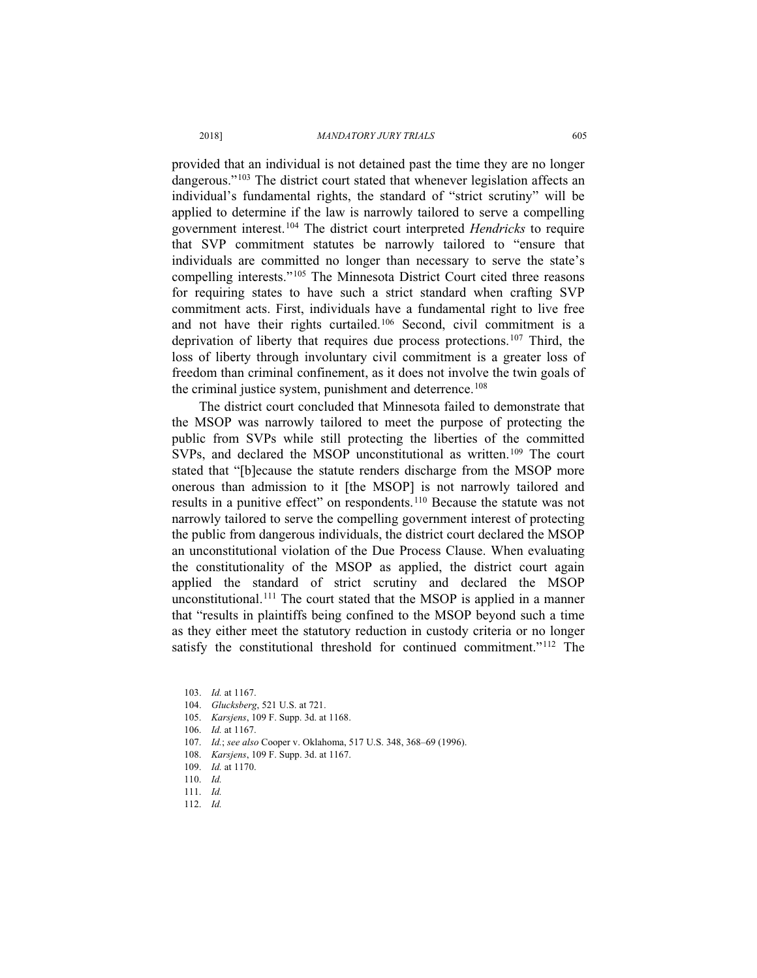#### 2018] *MANDATORY JURY TRIALS* 605

provided that an individual is not detained past the time they are no longer dangerous."103 The district court stated that whenever legislation affects an individual's fundamental rights, the standard of "strict scrutiny" will be applied to determine if the law is narrowly tailored to serve a compelling government interest.104 The district court interpreted *Hendricks* to require that SVP commitment statutes be narrowly tailored to "ensure that individuals are committed no longer than necessary to serve the state's compelling interests."105 The Minnesota District Court cited three reasons for requiring states to have such a strict standard when crafting SVP commitment acts. First, individuals have a fundamental right to live free and not have their rights curtailed.<sup>106</sup> Second, civil commitment is a deprivation of liberty that requires due process protections.107 Third, the loss of liberty through involuntary civil commitment is a greater loss of freedom than criminal confinement, as it does not involve the twin goals of the criminal justice system, punishment and deterrence.<sup>108</sup>

The district court concluded that Minnesota failed to demonstrate that the MSOP was narrowly tailored to meet the purpose of protecting the public from SVPs while still protecting the liberties of the committed SVPs, and declared the MSOP unconstitutional as written.<sup>109</sup> The court stated that "[b]ecause the statute renders discharge from the MSOP more onerous than admission to it [the MSOP] is not narrowly tailored and results in a punitive effect" on respondents.<sup>110</sup> Because the statute was not narrowly tailored to serve the compelling government interest of protecting the public from dangerous individuals, the district court declared the MSOP an unconstitutional violation of the Due Process Clause. When evaluating the constitutionality of the MSOP as applied, the district court again applied the standard of strict scrutiny and declared the MSOP unconstitutional.111 The court stated that the MSOP is applied in a manner that "results in plaintiffs being confined to the MSOP beyond such a time as they either meet the statutory reduction in custody criteria or no longer satisfy the constitutional threshold for continued commitment."<sup>112</sup> The

- 104. *Glucksberg*, 521 U.S. at 721.
- 105. *Karsjens*, 109 F. Supp. 3d. at 1168.

- 107. *Id.*; *see also* Cooper v. Oklahoma, 517 U.S. 348, 368–69 (1996).
- 108. *Karsjens*, 109 F. Supp. 3d. at 1167.
- 109. *Id.* at 1170.
- 110. *Id.*
- 111. *Id.* 112. *Id.*
- 

<sup>103.</sup> *Id.* at 1167.

<sup>106.</sup> *Id.* at 1167.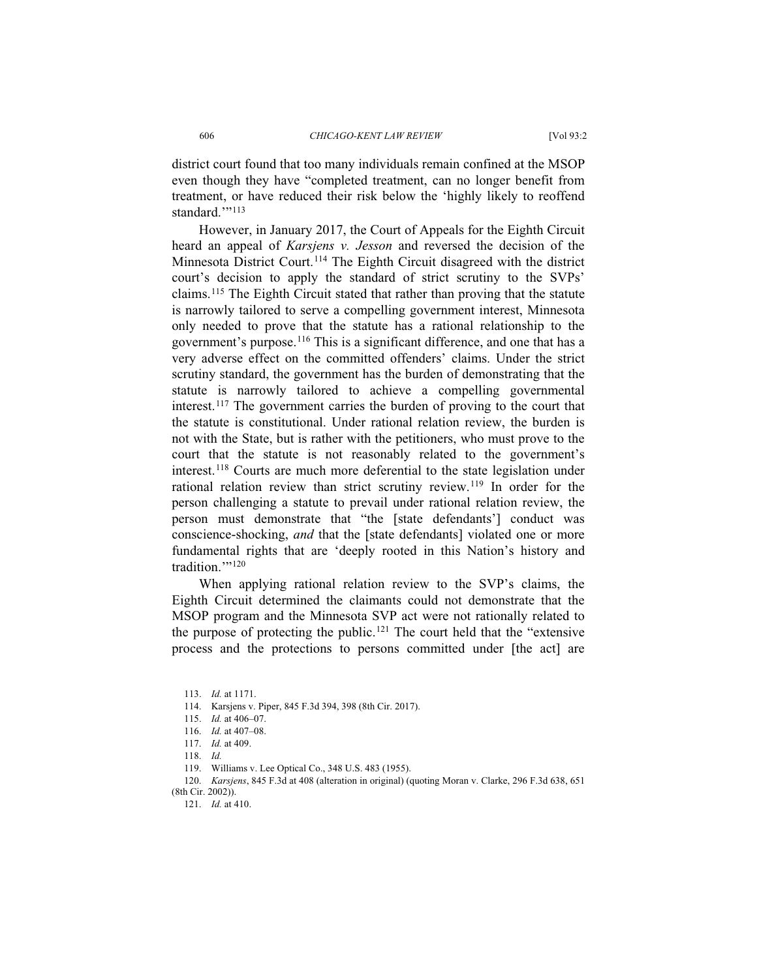district court found that too many individuals remain confined at the MSOP even though they have "completed treatment, can no longer benefit from treatment, or have reduced their risk below the 'highly likely to reoffend standard."<sup>113</sup>

However, in January 2017, the Court of Appeals for the Eighth Circuit heard an appeal of *Karsjens v. Jesson* and reversed the decision of the Minnesota District Court.<sup>114</sup> The Eighth Circuit disagreed with the district court's decision to apply the standard of strict scrutiny to the SVPs' claims.115 The Eighth Circuit stated that rather than proving that the statute is narrowly tailored to serve a compelling government interest, Minnesota only needed to prove that the statute has a rational relationship to the government's purpose.116 This is a significant difference, and one that has a very adverse effect on the committed offenders' claims. Under the strict scrutiny standard, the government has the burden of demonstrating that the statute is narrowly tailored to achieve a compelling governmental interest.117 The government carries the burden of proving to the court that the statute is constitutional. Under rational relation review, the burden is not with the State, but is rather with the petitioners, who must prove to the court that the statute is not reasonably related to the government's interest.118 Courts are much more deferential to the state legislation under rational relation review than strict scrutiny review.119 In order for the person challenging a statute to prevail under rational relation review, the person must demonstrate that "the [state defendants'] conduct was conscience-shocking, *and* that the [state defendants] violated one or more fundamental rights that are 'deeply rooted in this Nation's history and tradition."<sup>120</sup>

When applying rational relation review to the SVP's claims, the Eighth Circuit determined the claimants could not demonstrate that the MSOP program and the Minnesota SVP act were not rationally related to the purpose of protecting the public.<sup>121</sup> The court held that the "extensive" process and the protections to persons committed under [the act] are

<sup>113.</sup> *Id.* at 1171.

<sup>114.</sup> Karsjens v. Piper, 845 F.3d 394, 398 (8th Cir. 2017).

<sup>115.</sup> *Id.* at 406–07.

<sup>116.</sup> *Id.* at 407–08.

<sup>117.</sup> *Id.* at 409.

<sup>118.</sup> *Id.*

<sup>119.</sup> Williams v. Lee Optical Co., 348 U.S. 483 (1955).

<sup>120.</sup> *Karsjens*, 845 F.3d at 408 (alteration in original) (quoting Moran v. Clarke, 296 F.3d 638, 651 (8th Cir. 2002)).

<sup>121.</sup> *Id.* at 410.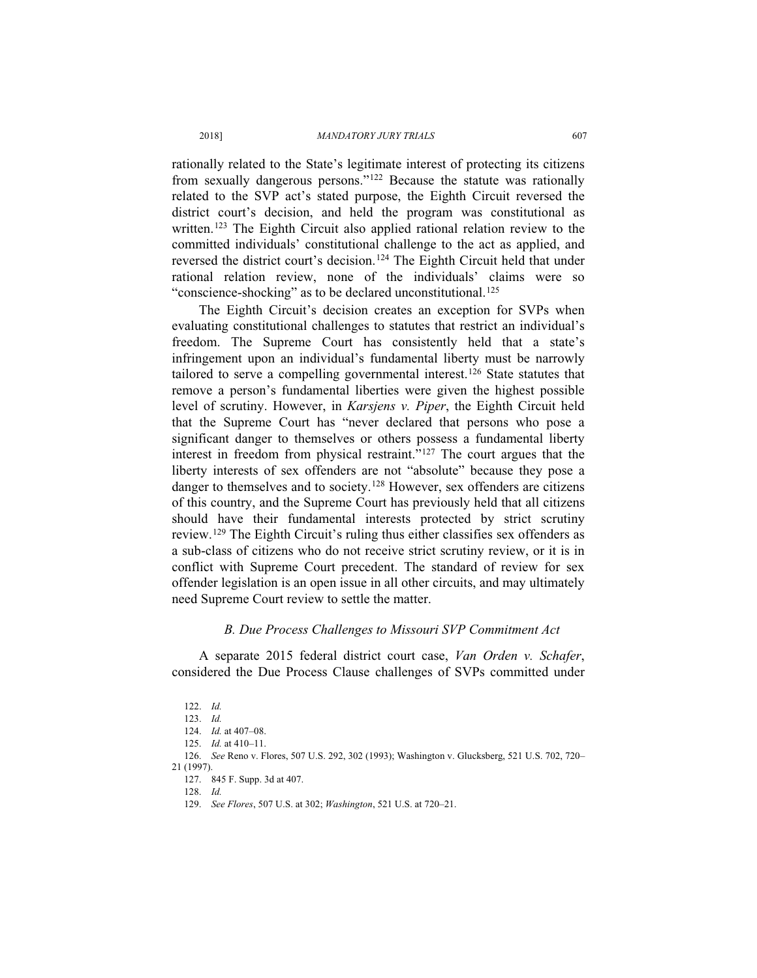rationally related to the State's legitimate interest of protecting its citizens from sexually dangerous persons."122 Because the statute was rationally related to the SVP act's stated purpose, the Eighth Circuit reversed the district court's decision, and held the program was constitutional as written.<sup>123</sup> The Eighth Circuit also applied rational relation review to the committed individuals' constitutional challenge to the act as applied, and reversed the district court's decision.124 The Eighth Circuit held that under rational relation review, none of the individuals' claims were so "conscience-shocking" as to be declared unconstitutional.<sup>125</sup>

The Eighth Circuit's decision creates an exception for SVPs when evaluating constitutional challenges to statutes that restrict an individual's freedom. The Supreme Court has consistently held that a state's infringement upon an individual's fundamental liberty must be narrowly tailored to serve a compelling governmental interest.<sup>126</sup> State statutes that remove a person's fundamental liberties were given the highest possible level of scrutiny. However, in *Karsjens v. Piper*, the Eighth Circuit held that the Supreme Court has "never declared that persons who pose a significant danger to themselves or others possess a fundamental liberty interest in freedom from physical restraint."127 The court argues that the liberty interests of sex offenders are not "absolute" because they pose a danger to themselves and to society.<sup>128</sup> However, sex offenders are citizens of this country, and the Supreme Court has previously held that all citizens should have their fundamental interests protected by strict scrutiny review.129 The Eighth Circuit's ruling thus either classifies sex offenders as a sub-class of citizens who do not receive strict scrutiny review, or it is in conflict with Supreme Court precedent. The standard of review for sex offender legislation is an open issue in all other circuits, and may ultimately need Supreme Court review to settle the matter.

## *B. Due Process Challenges to Missouri SVP Commitment Act*

A separate 2015 federal district court case, *Van Orden v. Schafer*, considered the Due Process Clause challenges of SVPs committed under

127. 845 F. Supp. 3d at 407.

128. *Id.*

<sup>122.</sup> *Id.*

<sup>123.</sup> *Id.*

<sup>124.</sup> *Id.* at 407–08.

<sup>125.</sup> *Id.* at 410–11.

<sup>126.</sup> *See* Reno v. Flores, 507 U.S. 292, 302 (1993); Washington v. Glucksberg, 521 U.S. 702, 720– 21 (1997).

<sup>129.</sup> *See Flores*, 507 U.S. at 302; *Washington*, 521 U.S. at 720–21.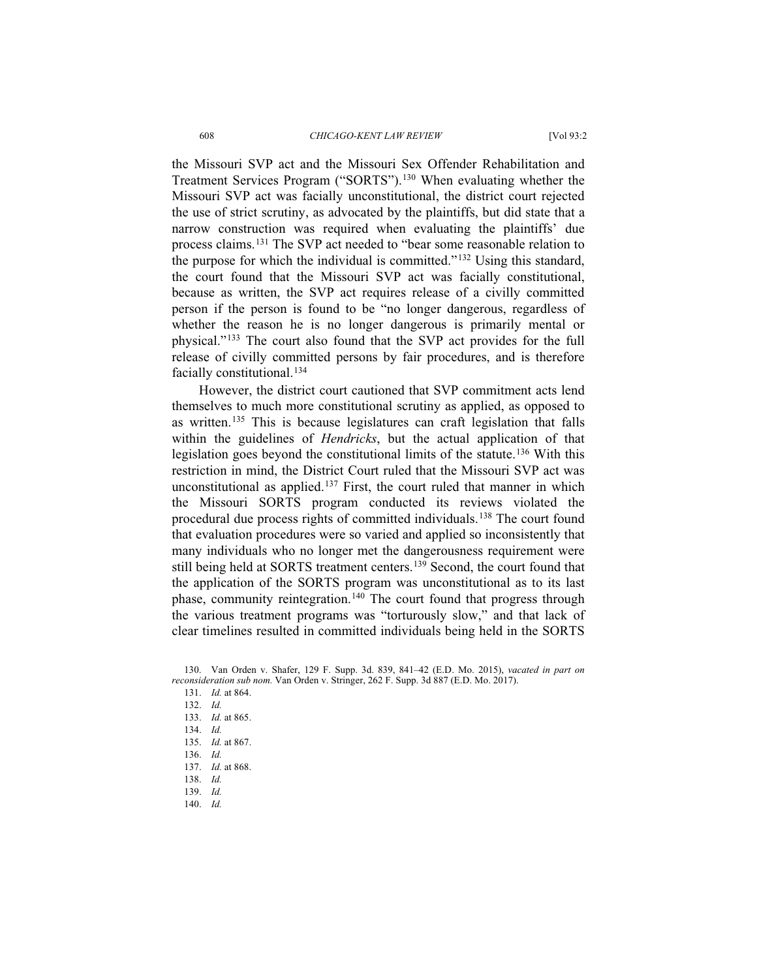#### 608 *CHICAGO-KENT LAW REVIEW* [Vol 93:2

the Missouri SVP act and the Missouri Sex Offender Rehabilitation and Treatment Services Program ("SORTS").130 When evaluating whether the Missouri SVP act was facially unconstitutional, the district court rejected the use of strict scrutiny, as advocated by the plaintiffs, but did state that a narrow construction was required when evaluating the plaintiffs' due process claims.131 The SVP act needed to "bear some reasonable relation to the purpose for which the individual is committed."132 Using this standard, the court found that the Missouri SVP act was facially constitutional, because as written, the SVP act requires release of a civilly committed person if the person is found to be "no longer dangerous, regardless of whether the reason he is no longer dangerous is primarily mental or physical."133 The court also found that the SVP act provides for the full release of civilly committed persons by fair procedures, and is therefore facially constitutional.<sup>134</sup>

However, the district court cautioned that SVP commitment acts lend themselves to much more constitutional scrutiny as applied, as opposed to as written.<sup>135</sup> This is because legislatures can craft legislation that falls within the guidelines of *Hendricks*, but the actual application of that legislation goes beyond the constitutional limits of the statute.<sup>136</sup> With this restriction in mind, the District Court ruled that the Missouri SVP act was unconstitutional as applied.<sup>137</sup> First, the court ruled that manner in which the Missouri SORTS program conducted its reviews violated the procedural due process rights of committed individuals.<sup>138</sup> The court found that evaluation procedures were so varied and applied so inconsistently that many individuals who no longer met the dangerousness requirement were still being held at SORTS treatment centers.<sup>139</sup> Second, the court found that the application of the SORTS program was unconstitutional as to its last phase, community reintegration.<sup>140</sup> The court found that progress through the various treatment programs was "torturously slow," and that lack of clear timelines resulted in committed individuals being held in the SORTS

<sup>130.</sup> Van Orden v. Shafer, 129 F. Supp. 3d. 839, 841–42 (E.D. Mo. 2015), *vacated in part on reconsideration sub nom.* Van Orden v. Stringer, 262 F. Supp. 3d 887 (E.D. Mo. 2017).

<sup>131.</sup> *Id.* at 864.

<sup>132.</sup> *Id.*

<sup>133.</sup> *Id.* at 865.

<sup>134.</sup> *Id.*

<sup>135.</sup> *Id.* at 867.

<sup>136.</sup> *Id.*

<sup>137.</sup> *Id.* at 868.

<sup>138.</sup> *Id.*

<sup>139.</sup> *Id.*

<sup>140.</sup> *Id.*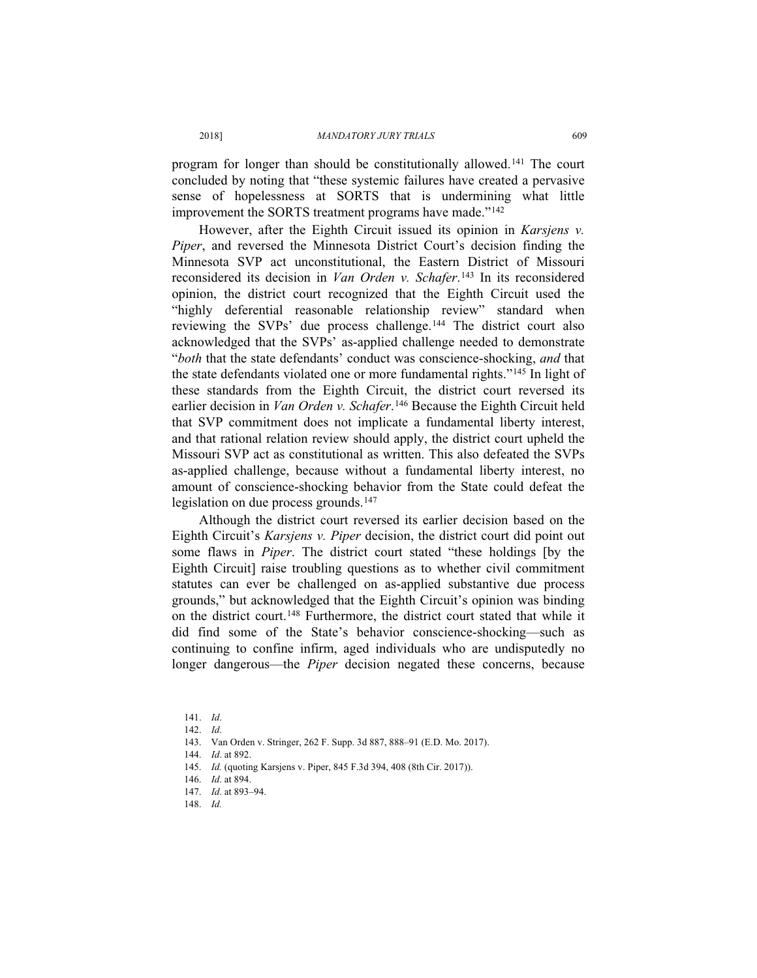program for longer than should be constitutionally allowed.141 The court concluded by noting that "these systemic failures have created a pervasive sense of hopelessness at SORTS that is undermining what little improvement the SORTS treatment programs have made."<sup>142</sup>

However, after the Eighth Circuit issued its opinion in *Karsjens v. Piper*, and reversed the Minnesota District Court's decision finding the Minnesota SVP act unconstitutional, the Eastern District of Missouri reconsidered its decision in *Van Orden v. Schafer*. <sup>143</sup> In its reconsidered opinion, the district court recognized that the Eighth Circuit used the "highly deferential reasonable relationship review" standard when reviewing the SVPs' due process challenge.<sup>144</sup> The district court also acknowledged that the SVPs' as-applied challenge needed to demonstrate "*both* that the state defendants' conduct was conscience-shocking, *and* that the state defendants violated one or more fundamental rights."145 In light of these standards from the Eighth Circuit, the district court reversed its earlier decision in *Van Orden v. Schafer*.<sup>146</sup> Because the Eighth Circuit held that SVP commitment does not implicate a fundamental liberty interest, and that rational relation review should apply, the district court upheld the Missouri SVP act as constitutional as written. This also defeated the SVPs as-applied challenge, because without a fundamental liberty interest, no amount of conscience-shocking behavior from the State could defeat the legislation on due process grounds.<sup>147</sup>

Although the district court reversed its earlier decision based on the Eighth Circuit's *Karsjens v. Piper* decision, the district court did point out some flaws in *Piper*. The district court stated "these holdings [by the Eighth Circuit] raise troubling questions as to whether civil commitment statutes can ever be challenged on as-applied substantive due process grounds," but acknowledged that the Eighth Circuit's opinion was binding on the district court.148 Furthermore, the district court stated that while it did find some of the State's behavior conscience-shocking—such as continuing to confine infirm, aged individuals who are undisputedly no longer dangerous—the *Piper* decision negated these concerns, because

<sup>141.</sup> *Id*.

<sup>142.</sup> *Id*.

<sup>143.</sup> Van Orden v. Stringer, 262 F. Supp. 3d 887, 888–91 (E.D. Mo. 2017).

<sup>144.</sup> *Id*. at 892.

<sup>145.</sup> *Id.* (quoting Karsjens v. Piper, 845 F.3d 394, 408 (8th Cir. 2017)).

<sup>146.</sup> *Id*. at 894.

<sup>147.</sup> *Id*. at 893–94.

<sup>148.</sup> *Id.*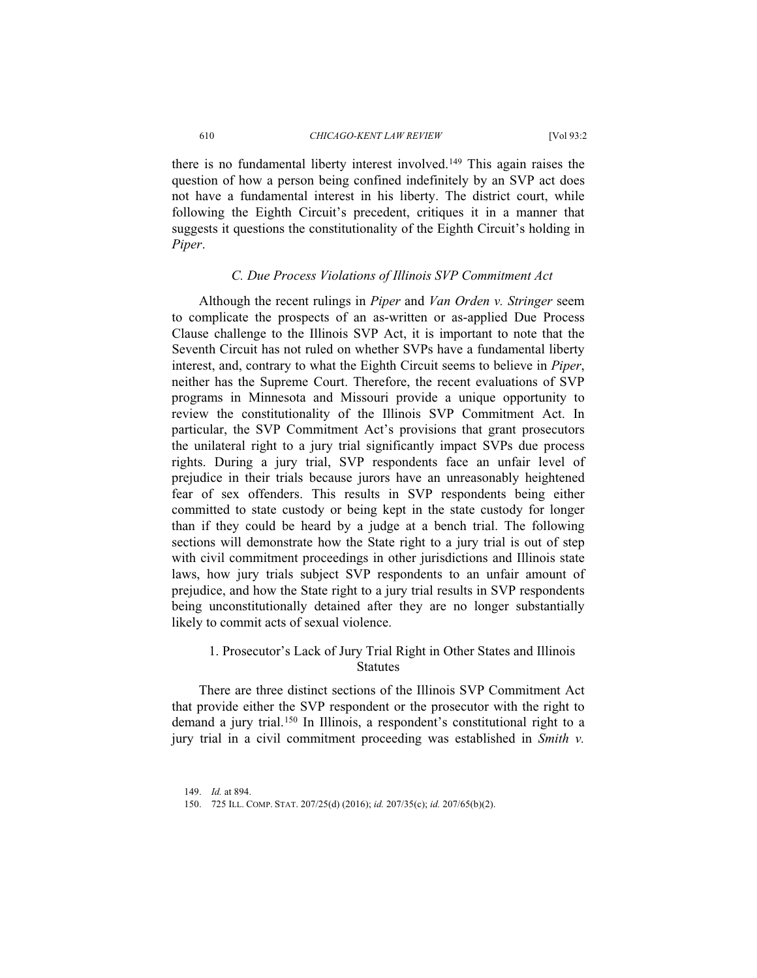there is no fundamental liberty interest involved.149 This again raises the question of how a person being confined indefinitely by an SVP act does not have a fundamental interest in his liberty. The district court, while following the Eighth Circuit's precedent, critiques it in a manner that suggests it questions the constitutionality of the Eighth Circuit's holding in *Piper*.

#### *C. Due Process Violations of Illinois SVP Commitment Act*

Although the recent rulings in *Piper* and *Van Orden v. Stringer* seem to complicate the prospects of an as-written or as-applied Due Process Clause challenge to the Illinois SVP Act, it is important to note that the Seventh Circuit has not ruled on whether SVPs have a fundamental liberty interest, and, contrary to what the Eighth Circuit seems to believe in *Piper*, neither has the Supreme Court. Therefore, the recent evaluations of SVP programs in Minnesota and Missouri provide a unique opportunity to review the constitutionality of the Illinois SVP Commitment Act. In particular, the SVP Commitment Act's provisions that grant prosecutors the unilateral right to a jury trial significantly impact SVPs due process rights. During a jury trial, SVP respondents face an unfair level of prejudice in their trials because jurors have an unreasonably heightened fear of sex offenders. This results in SVP respondents being either committed to state custody or being kept in the state custody for longer than if they could be heard by a judge at a bench trial. The following sections will demonstrate how the State right to a jury trial is out of step with civil commitment proceedings in other jurisdictions and Illinois state laws, how jury trials subject SVP respondents to an unfair amount of prejudice, and how the State right to a jury trial results in SVP respondents being unconstitutionally detained after they are no longer substantially likely to commit acts of sexual violence.

## 1. Prosecutor's Lack of Jury Trial Right in Other States and Illinois **Statutes**

There are three distinct sections of the Illinois SVP Commitment Act that provide either the SVP respondent or the prosecutor with the right to demand a jury trial.<sup>150</sup> In Illinois, a respondent's constitutional right to a jury trial in a civil commitment proceeding was established in *Smith v.* 

<sup>149.</sup> *Id.* at 894.

<sup>150. 725</sup> ILL. COMP. STAT. 207/25(d) (2016); *id.* 207/35(c); *id.* 207/65(b)(2).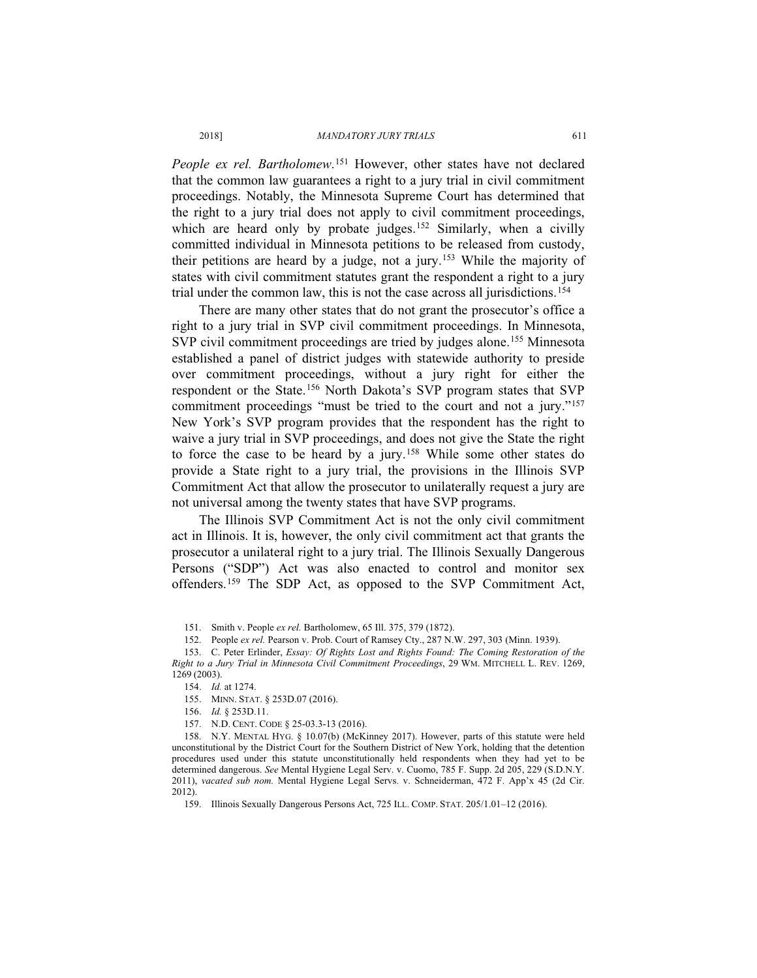*People ex rel. Bartholomew*. <sup>151</sup> However, other states have not declared that the common law guarantees a right to a jury trial in civil commitment proceedings. Notably, the Minnesota Supreme Court has determined that the right to a jury trial does not apply to civil commitment proceedings, which are heard only by probate judges.<sup>152</sup> Similarly, when a civilly committed individual in Minnesota petitions to be released from custody, their petitions are heard by a judge, not a jury.153 While the majority of states with civil commitment statutes grant the respondent a right to a jury trial under the common law, this is not the case across all jurisdictions.154

There are many other states that do not grant the prosecutor's office a right to a jury trial in SVP civil commitment proceedings. In Minnesota, SVP civil commitment proceedings are tried by judges alone.155 Minnesota established a panel of district judges with statewide authority to preside over commitment proceedings, without a jury right for either the respondent or the State.156 North Dakota's SVP program states that SVP commitment proceedings "must be tried to the court and not a jury."157 New York's SVP program provides that the respondent has the right to waive a jury trial in SVP proceedings, and does not give the State the right to force the case to be heard by a jury.158 While some other states do provide a State right to a jury trial, the provisions in the Illinois SVP Commitment Act that allow the prosecutor to unilaterally request a jury are not universal among the twenty states that have SVP programs.

The Illinois SVP Commitment Act is not the only civil commitment act in Illinois. It is, however, the only civil commitment act that grants the prosecutor a unilateral right to a jury trial. The Illinois Sexually Dangerous Persons ("SDP") Act was also enacted to control and monitor sex offenders.159 The SDP Act, as opposed to the SVP Commitment Act,

152. People *ex rel.* Pearson v. Prob. Court of Ramsey Cty., 287 N.W. 297, 303 (Minn. 1939).

155. MINN. STAT. § 253D.07 (2016).

156. *Id.* § 253D.11.

157. N.D. CENT. CODE § 25-03.3-13 (2016).

158. N.Y. MENTAL HYG. § 10.07(b) (McKinney 2017). However, parts of this statute were held unconstitutional by the District Court for the Southern District of New York, holding that the detention procedures used under this statute unconstitutionally held respondents when they had yet to be determined dangerous. *See* Mental Hygiene Legal Serv. v. Cuomo, 785 F. Supp. 2d 205, 229 (S.D.N.Y. 2011), *vacated sub nom.* Mental Hygiene Legal Servs. v. Schneiderman, 472 F. App'x 45 (2d Cir. 2012).

159. Illinois Sexually Dangerous Persons Act, 725 ILL. COMP. STAT. 205/1.01–12 (2016).

<sup>151.</sup> Smith v. People *ex rel.* Bartholomew, 65 Ill. 375, 379 (1872).

<sup>153.</sup> C. Peter Erlinder, *Essay: Of Rights Lost and Rights Found: The Coming Restoration of the Right to a Jury Trial in Minnesota Civil Commitment Proceedings*, 29 WM. MITCHELL L. REV. 1269, 1269 (2003).

<sup>154.</sup> *Id.* at 1274.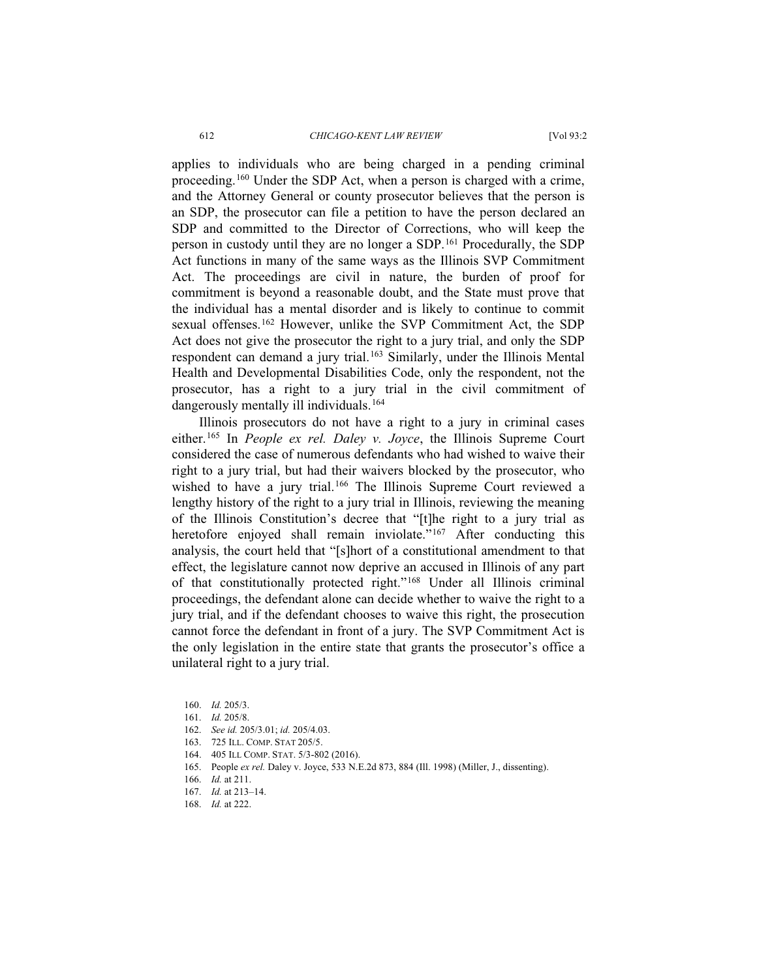#### 612 *CHICAGO-KENT LAW REVIEW* [Vol 93:2

applies to individuals who are being charged in a pending criminal proceeding.160 Under the SDP Act, when a person is charged with a crime, and the Attorney General or county prosecutor believes that the person is an SDP, the prosecutor can file a petition to have the person declared an SDP and committed to the Director of Corrections, who will keep the person in custody until they are no longer a SDP.161 Procedurally, the SDP Act functions in many of the same ways as the Illinois SVP Commitment Act. The proceedings are civil in nature, the burden of proof for commitment is beyond a reasonable doubt, and the State must prove that the individual has a mental disorder and is likely to continue to commit sexual offenses.162 However, unlike the SVP Commitment Act, the SDP Act does not give the prosecutor the right to a jury trial, and only the SDP respondent can demand a jury trial.<sup>163</sup> Similarly, under the Illinois Mental Health and Developmental Disabilities Code, only the respondent, not the prosecutor, has a right to a jury trial in the civil commitment of dangerously mentally ill individuals.<sup>164</sup>

Illinois prosecutors do not have a right to a jury in criminal cases either.165 In *People ex rel. Daley v. Joyce*, the Illinois Supreme Court considered the case of numerous defendants who had wished to waive their right to a jury trial, but had their waivers blocked by the prosecutor, who wished to have a jury trial.<sup>166</sup> The Illinois Supreme Court reviewed a lengthy history of the right to a jury trial in Illinois, reviewing the meaning of the Illinois Constitution's decree that "[t]he right to a jury trial as heretofore enjoyed shall remain inviolate."<sup>167</sup> After conducting this analysis, the court held that "[s]hort of a constitutional amendment to that effect, the legislature cannot now deprive an accused in Illinois of any part of that constitutionally protected right."168 Under all Illinois criminal proceedings, the defendant alone can decide whether to waive the right to a jury trial, and if the defendant chooses to waive this right, the prosecution cannot force the defendant in front of a jury. The SVP Commitment Act is the only legislation in the entire state that grants the prosecutor's office a unilateral right to a jury trial.

- 160. *Id.* 205/3.
- 161. *Id.* 205/8.
- 162. *See id.* 205/3.01; *id.* 205/4.03.
- 163. 725 ILL. COMP. STAT 205/5.
- 164. 405 ILL COMP. STAT. 5/3-802 (2016).
- 165. People *ex rel.* Daley v. Joyce, 533 N.E.2d 873, 884 (Ill. 1998) (Miller, J., dissenting).
- 166. *Id.* at 211.
- 167. *Id.* at 213–14.
- 168. *Id.* at 222.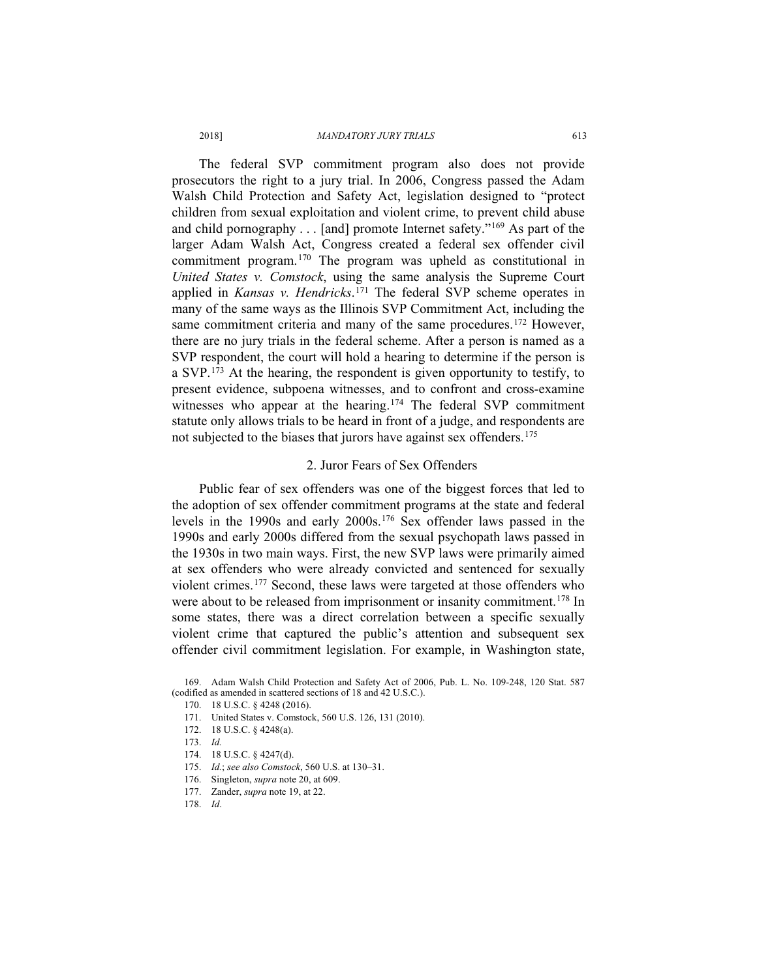The federal SVP commitment program also does not provide prosecutors the right to a jury trial. In 2006, Congress passed the Adam Walsh Child Protection and Safety Act, legislation designed to "protect children from sexual exploitation and violent crime, to prevent child abuse and child pornography . . . [and] promote Internet safety."169 As part of the larger Adam Walsh Act, Congress created a federal sex offender civil commitment program.170 The program was upheld as constitutional in *United States v. Comstock*, using the same analysis the Supreme Court applied in *Kansas v. Hendricks*. <sup>171</sup> The federal SVP scheme operates in many of the same ways as the Illinois SVP Commitment Act, including the same commitment criteria and many of the same procedures.<sup>172</sup> However, there are no jury trials in the federal scheme. After a person is named as a SVP respondent, the court will hold a hearing to determine if the person is a SVP.173 At the hearing, the respondent is given opportunity to testify, to present evidence, subpoena witnesses, and to confront and cross-examine witnesses who appear at the hearing.<sup>174</sup> The federal SVP commitment statute only allows trials to be heard in front of a judge, and respondents are not subjected to the biases that jurors have against sex offenders.<sup>175</sup>

## 2. Juror Fears of Sex Offenders

Public fear of sex offenders was one of the biggest forces that led to the adoption of sex offender commitment programs at the state and federal levels in the 1990s and early 2000s.176 Sex offender laws passed in the 1990s and early 2000s differed from the sexual psychopath laws passed in the 1930s in two main ways. First, the new SVP laws were primarily aimed at sex offenders who were already convicted and sentenced for sexually violent crimes.177 Second, these laws were targeted at those offenders who were about to be released from imprisonment or insanity commitment.<sup>178</sup> In some states, there was a direct correlation between a specific sexually violent crime that captured the public's attention and subsequent sex offender civil commitment legislation. For example, in Washington state,

<sup>169.</sup> Adam Walsh Child Protection and Safety Act of 2006, Pub. L. No. 109-248, 120 Stat. 587 (codified as amended in scattered sections of 18 and 42 U.S.C.).

<sup>170. 18</sup> U.S.C. § 4248 (2016).

<sup>171.</sup> United States v. Comstock, 560 U.S. 126, 131 (2010).

<sup>172. 18</sup> U.S.C. § 4248(a).

<sup>173.</sup> *Id.*

<sup>174. 18</sup> U.S.C. § 4247(d).

<sup>175.</sup> *Id.*; *see also Comstock*, 560 U.S. at 130–31.

<sup>176.</sup> Singleton, *supra* note 20, at 609.

<sup>177.</sup> Zander, *supra* note 19, at 22.

<sup>178.</sup> *Id*.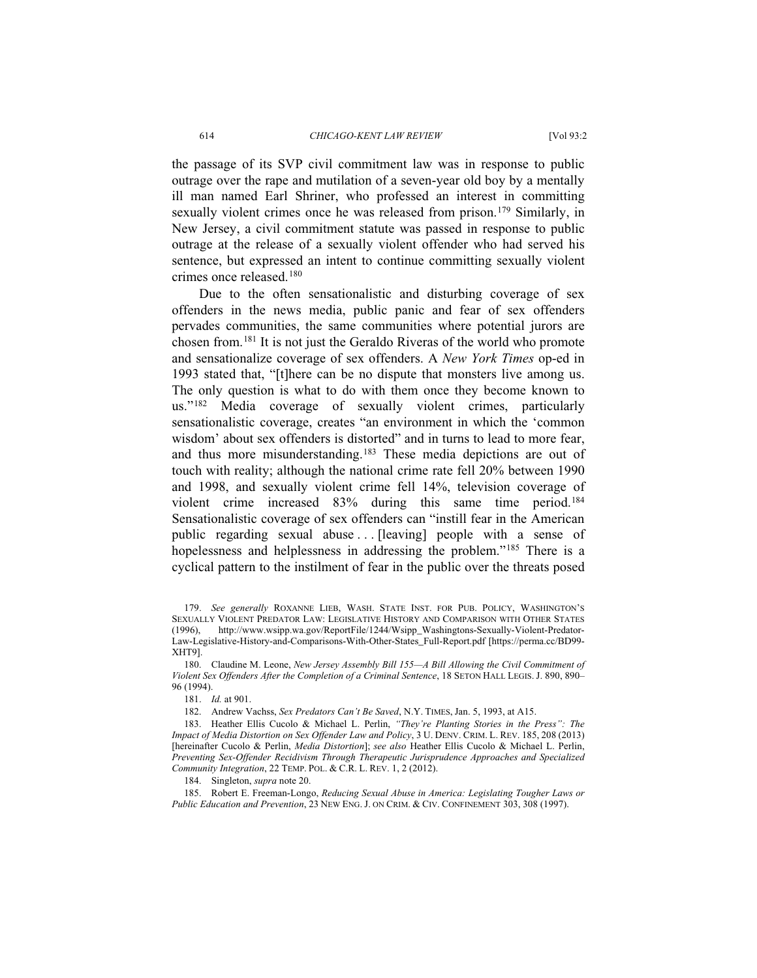the passage of its SVP civil commitment law was in response to public outrage over the rape and mutilation of a seven-year old boy by a mentally ill man named Earl Shriner, who professed an interest in committing sexually violent crimes once he was released from prison.<sup>179</sup> Similarly, in New Jersey, a civil commitment statute was passed in response to public outrage at the release of a sexually violent offender who had served his sentence, but expressed an intent to continue committing sexually violent crimes once released.180

Due to the often sensationalistic and disturbing coverage of sex offenders in the news media, public panic and fear of sex offenders pervades communities, the same communities where potential jurors are chosen from.181 It is not just the Geraldo Riveras of the world who promote and sensationalize coverage of sex offenders. A *New York Times* op-ed in 1993 stated that, "[t]here can be no dispute that monsters live among us. The only question is what to do with them once they become known to us."<sup>182</sup> Media coverage of sexually violent crimes, particularly sensationalistic coverage, creates "an environment in which the 'common wisdom' about sex offenders is distorted" and in turns to lead to more fear, and thus more misunderstanding.<sup>183</sup> These media depictions are out of touch with reality; although the national crime rate fell 20% between 1990 and 1998, and sexually violent crime fell 14%, television coverage of violent crime increased 83% during this same time period.184 Sensationalistic coverage of sex offenders can "instill fear in the American public regarding sexual abuse ... [leaving] people with a sense of hopelessness and helplessness in addressing the problem."<sup>185</sup> There is a cyclical pattern to the instilment of fear in the public over the threats posed

184. Singleton, *supra* note 20.

185. Robert E. Freeman-Longo, *Reducing Sexual Abuse in America: Legislating Tougher Laws or Public Education and Prevention*, 23 NEW ENG. J. ON CRIM.&CIV. CONFINEMENT 303, 308 (1997).

<sup>179.</sup> *See generally* ROXANNE LIEB, WASH. STATE INST. FOR PUB. POLICY, WASHINGTON'S SEXUALLY VIOLENT PREDATOR LAW: LEGISLATIVE HISTORY AND COMPARISON WITH OTHER STATES (1996), http://www.wsipp.wa.gov/ReportFile/1244/Wsipp\_Washingtons-Sexually-Violent-Predator-Law-Legislative-History-and-Comparisons-With-Other-States\_Full-Report.pdf [https://perma.cc/BD99- XHT9].

<sup>180.</sup> Claudine M. Leone, *New Jersey Assembly Bill 155—A Bill Allowing the Civil Commitment of Violent Sex Offenders After the Completion of a Criminal Sentence*, 18 SETON HALL LEGIS. J. 890, 890– 96 (1994).

<sup>181.</sup> *Id.* at 901.

<sup>182.</sup> Andrew Vachss, *Sex Predators Can't Be Saved*, N.Y. TIMES, Jan. 5, 1993, at A15.

<sup>183.</sup> Heather Ellis Cucolo & Michael L. Perlin, *"They're Planting Stories in the Press": The Impact of Media Distortion on Sex Offender Law and Policy*, 3 U. DENV. CRIM. L. REV. 185, 208 (2013) [hereinafter Cucolo & Perlin, *Media Distortion*]; *see also* Heather Ellis Cucolo & Michael L. Perlin, *Preventing Sex-Offender Recidivism Through Therapeutic Jurisprudence Approaches and Specialized Community Integration*, 22 TEMP. POL. & C.R. L. REV. 1, 2 (2012).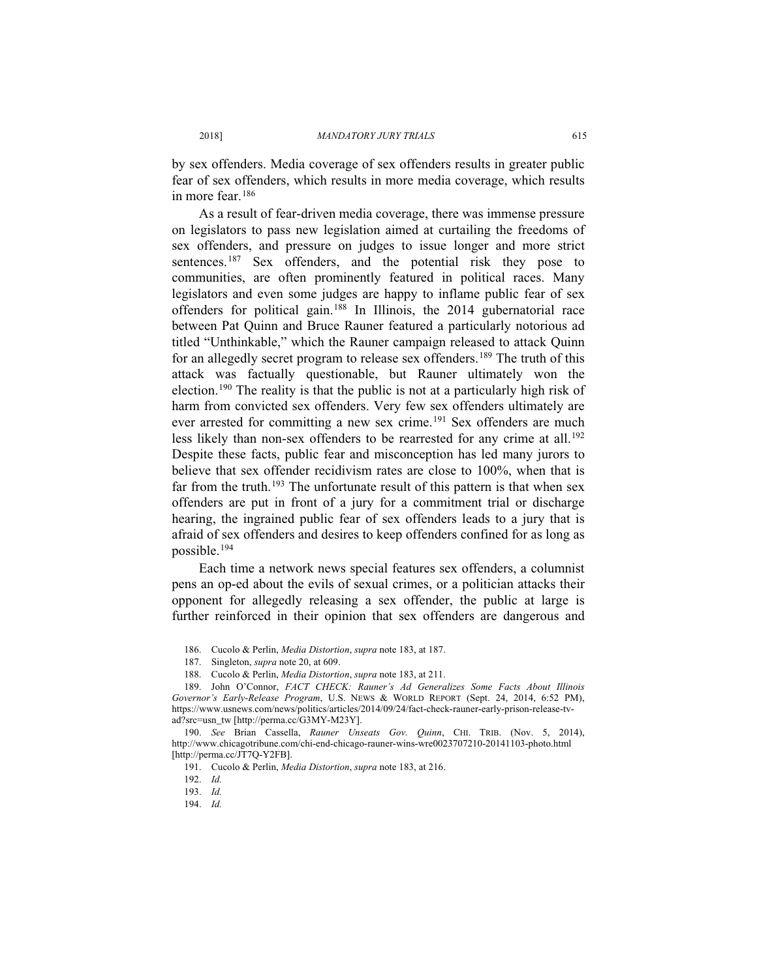by sex offenders. Media coverage of sex offenders results in greater public fear of sex offenders, which results in more media coverage, which results in more fear.186

As a result of fear-driven media coverage, there was immense pressure on legislators to pass new legislation aimed at curtailing the freedoms of sex offenders, and pressure on judges to issue longer and more strict sentences.<sup>187</sup> Sex offenders, and the potential risk they pose to communities, are often prominently featured in political races. Many legislators and even some judges are happy to inflame public fear of sex offenders for political gain.188 In Illinois, the 2014 gubernatorial race between Pat Quinn and Bruce Rauner featured a particularly notorious ad titled "Unthinkable," which the Rauner campaign released to attack Quinn for an allegedly secret program to release sex offenders.189 The truth of this attack was factually questionable, but Rauner ultimately won the election.190 The reality is that the public is not at a particularly high risk of harm from convicted sex offenders. Very few sex offenders ultimately are ever arrested for committing a new sex crime.<sup>191</sup> Sex offenders are much less likely than non-sex offenders to be rearrested for any crime at all.<sup>192</sup> Despite these facts, public fear and misconception has led many jurors to believe that sex offender recidivism rates are close to 100%, when that is far from the truth.<sup>193</sup> The unfortunate result of this pattern is that when sex offenders are put in front of a jury for a commitment trial or discharge hearing, the ingrained public fear of sex offenders leads to a jury that is afraid of sex offenders and desires to keep offenders confined for as long as possible.194

Each time a network news special features sex offenders, a columnist pens an op-ed about the evils of sexual crimes, or a politician attacks their opponent for allegedly releasing a sex offender, the public at large is further reinforced in their opinion that sex offenders are dangerous and

<sup>186.</sup> Cucolo & Perlin, *Media Distortion*, *supra* note 183, at 187.

<sup>187.</sup> Singleton, *supra* note 20, at 609.

<sup>188.</sup> Cucolo & Perlin, *Media Distortion*, *supra* note 183, at 211.

<sup>189.</sup> John O'Connor, *FACT CHECK: Rauner's Ad Generalizes Some Facts About Illinois Governor's Early-Release Program*, U.S. NEWS & WORLD REPORT (Sept. 24, 2014, 6:52 PM), https://www.usnews.com/news/politics/articles/2014/09/24/fact-check-rauner-early-prison-release-tvad?src=usn\_tw [http://perma.cc/G3MY-M23Y].

<sup>190.</sup> *See* Brian Cassella, *Rauner Unseats Gov. Quinn*, CHI. TRIB. (Nov. 5, 2014), http://www.chicagotribune.com/chi-end-chicago-rauner-wins-wre0023707210-20141103-photo.html [http://perma.cc/JT7Q-Y2FB].

<sup>191.</sup> Cucolo & Perlin, *Media Distortion*, *supra* note 183, at 216.

<sup>192.</sup> *Id.*

<sup>193.</sup> *Id.*

<sup>194.</sup> *Id.*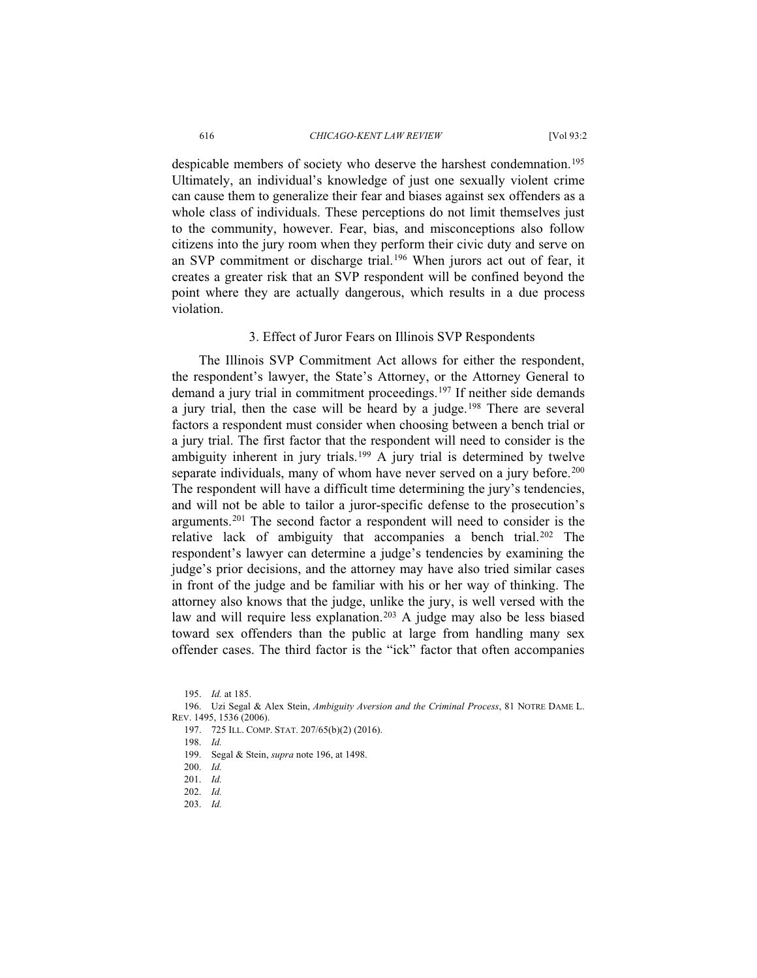#### 616 *CHICAGO-KENT LAW REVIEW* [Vol 93:2

despicable members of society who deserve the harshest condemnation.<sup>195</sup> Ultimately, an individual's knowledge of just one sexually violent crime can cause them to generalize their fear and biases against sex offenders as a whole class of individuals. These perceptions do not limit themselves just to the community, however. Fear, bias, and misconceptions also follow citizens into the jury room when they perform their civic duty and serve on an SVP commitment or discharge trial.196 When jurors act out of fear, it creates a greater risk that an SVP respondent will be confined beyond the point where they are actually dangerous, which results in a due process violation.

## 3. Effect of Juror Fears on Illinois SVP Respondents

The Illinois SVP Commitment Act allows for either the respondent, the respondent's lawyer, the State's Attorney, or the Attorney General to demand a jury trial in commitment proceedings.<sup>197</sup> If neither side demands a jury trial, then the case will be heard by a judge.<sup>198</sup> There are several factors a respondent must consider when choosing between a bench trial or a jury trial. The first factor that the respondent will need to consider is the ambiguity inherent in jury trials.<sup>199</sup> A jury trial is determined by twelve separate individuals, many of whom have never served on a jury before.<sup>200</sup> The respondent will have a difficult time determining the jury's tendencies, and will not be able to tailor a juror-specific defense to the prosecution's arguments.201 The second factor a respondent will need to consider is the relative lack of ambiguity that accompanies a bench trial.<sup>202</sup> The respondent's lawyer can determine a judge's tendencies by examining the judge's prior decisions, and the attorney may have also tried similar cases in front of the judge and be familiar with his or her way of thinking. The attorney also knows that the judge, unlike the jury, is well versed with the law and will require less explanation.<sup>203</sup> A judge may also be less biased toward sex offenders than the public at large from handling many sex offender cases. The third factor is the "ick" factor that often accompanies

- 202. *Id.* 203. *Id.*
- 

<sup>195.</sup> *Id.* at 185.

<sup>196.</sup> Uzi Segal & Alex Stein, *Ambiguity Aversion and the Criminal Process*, 81 NOTRE DAME L. REV. 1495, 1536 (2006).

<sup>197. 725</sup> ILL. COMP. STAT. 207/65(b)(2) (2016).

<sup>198.</sup> *Id.*

<sup>199.</sup> Segal & Stein, *supra* note 196, at 1498.

<sup>200.</sup> *Id.*

<sup>201.</sup> *Id.*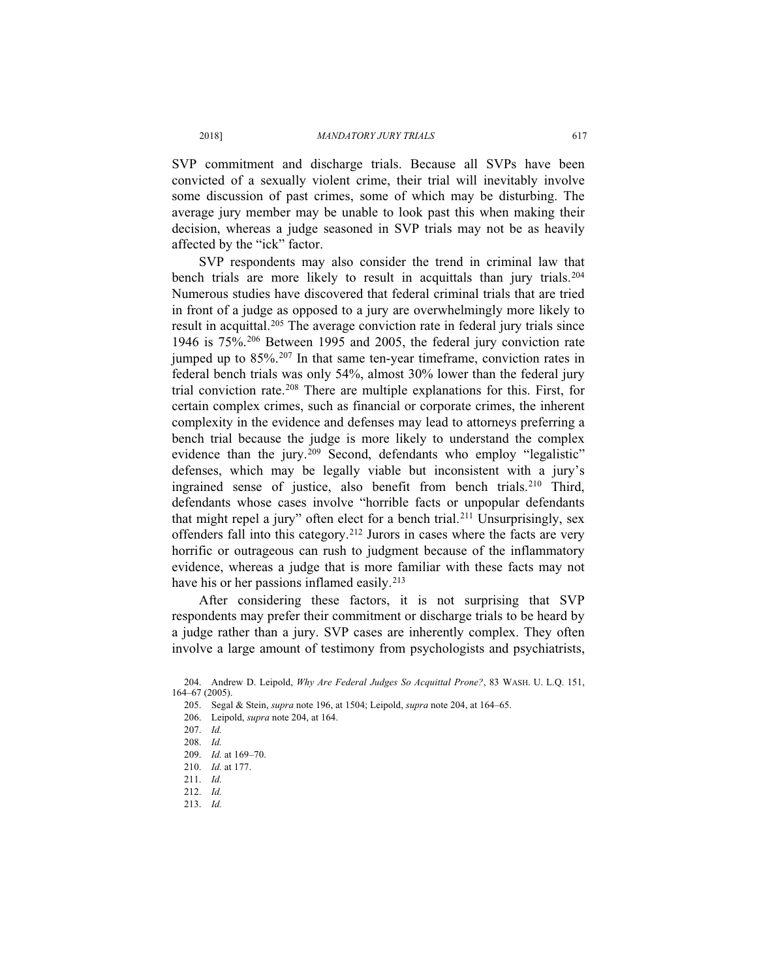SVP commitment and discharge trials. Because all SVPs have been convicted of a sexually violent crime, their trial will inevitably involve some discussion of past crimes, some of which may be disturbing. The average jury member may be unable to look past this when making their decision, whereas a judge seasoned in SVP trials may not be as heavily affected by the "ick" factor.

SVP respondents may also consider the trend in criminal law that bench trials are more likely to result in acquittals than jury trials.<sup>204</sup> Numerous studies have discovered that federal criminal trials that are tried in front of a judge as opposed to a jury are overwhelmingly more likely to result in acquittal.<sup>205</sup> The average conviction rate in federal jury trials since 1946 is 75%.206 Between 1995 and 2005, the federal jury conviction rate jumped up to 85%.207 In that same ten-year timeframe, conviction rates in federal bench trials was only 54%, almost 30% lower than the federal jury trial conviction rate.208 There are multiple explanations for this. First, for certain complex crimes, such as financial or corporate crimes, the inherent complexity in the evidence and defenses may lead to attorneys preferring a bench trial because the judge is more likely to understand the complex evidence than the jury.<sup>209</sup> Second, defendants who employ "legalistic" defenses, which may be legally viable but inconsistent with a jury's ingrained sense of justice, also benefit from bench trials.<sup>210</sup> Third, defendants whose cases involve "horrible facts or unpopular defendants that might repel a jury" often elect for a bench trial.<sup>211</sup> Unsurprisingly, sex offenders fall into this category.212 Jurors in cases where the facts are very horrific or outrageous can rush to judgment because of the inflammatory evidence, whereas a judge that is more familiar with these facts may not have his or her passions inflamed easily.<sup>213</sup>

After considering these factors, it is not surprising that SVP respondents may prefer their commitment or discharge trials to be heard by a judge rather than a jury. SVP cases are inherently complex. They often involve a large amount of testimony from psychologists and psychiatrists,

<sup>204.</sup> Andrew D. Leipold, *Why Are Federal Judges So Acquittal Prone?*, 83 WASH. U. L.Q. 151, 164–67 (2005).

<sup>205.</sup> Segal & Stein, *supra* note 196, at 1504; Leipold, *supra* note 204, at 164–65.

<sup>206.</sup> Leipold, *supra* note 204, at 164.

<sup>207.</sup> *Id.*

<sup>208.</sup> *Id.*

<sup>209.</sup> *Id.* at 169–70.

<sup>210.</sup> *Id.* at 177.

<sup>211.</sup> *Id.*

<sup>212.</sup> *Id.*

<sup>213.</sup> *Id.*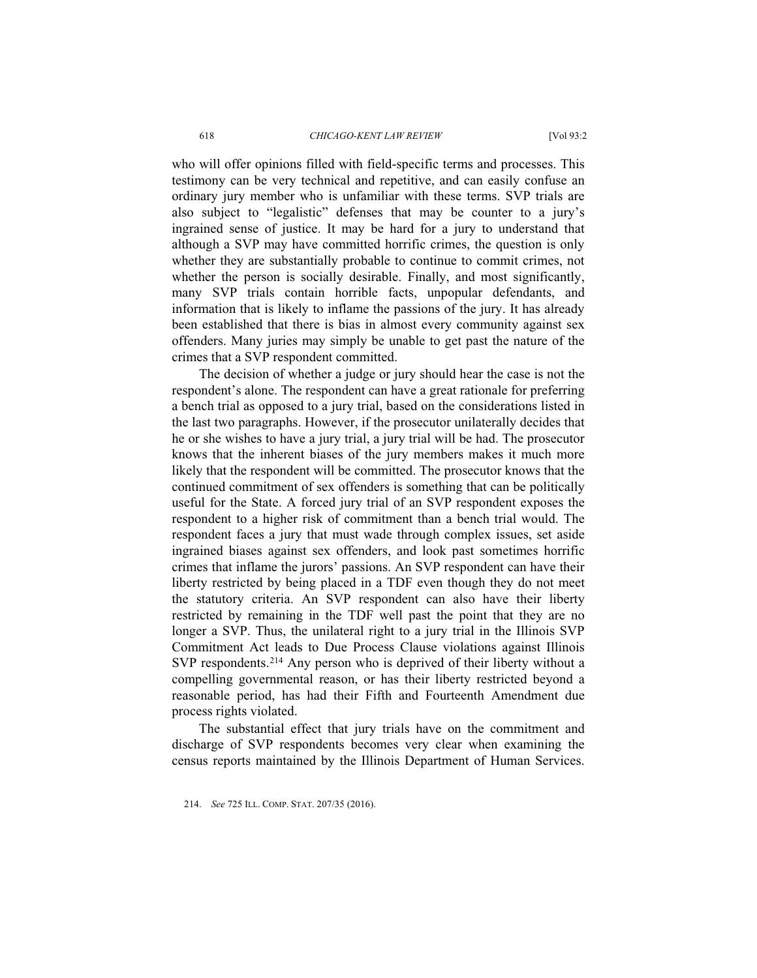#### 618 *CHICAGO-KENT LAW REVIEW* [Vol 93:2

who will offer opinions filled with field-specific terms and processes. This testimony can be very technical and repetitive, and can easily confuse an ordinary jury member who is unfamiliar with these terms. SVP trials are also subject to "legalistic" defenses that may be counter to a jury's ingrained sense of justice. It may be hard for a jury to understand that although a SVP may have committed horrific crimes, the question is only whether they are substantially probable to continue to commit crimes, not whether the person is socially desirable. Finally, and most significantly, many SVP trials contain horrible facts, unpopular defendants, and information that is likely to inflame the passions of the jury. It has already been established that there is bias in almost every community against sex offenders. Many juries may simply be unable to get past the nature of the crimes that a SVP respondent committed.

The decision of whether a judge or jury should hear the case is not the respondent's alone. The respondent can have a great rationale for preferring a bench trial as opposed to a jury trial, based on the considerations listed in the last two paragraphs. However, if the prosecutor unilaterally decides that he or she wishes to have a jury trial, a jury trial will be had. The prosecutor knows that the inherent biases of the jury members makes it much more likely that the respondent will be committed. The prosecutor knows that the continued commitment of sex offenders is something that can be politically useful for the State. A forced jury trial of an SVP respondent exposes the respondent to a higher risk of commitment than a bench trial would. The respondent faces a jury that must wade through complex issues, set aside ingrained biases against sex offenders, and look past sometimes horrific crimes that inflame the jurors' passions. An SVP respondent can have their liberty restricted by being placed in a TDF even though they do not meet the statutory criteria. An SVP respondent can also have their liberty restricted by remaining in the TDF well past the point that they are no longer a SVP. Thus, the unilateral right to a jury trial in the Illinois SVP Commitment Act leads to Due Process Clause violations against Illinois SVP respondents.<sup>214</sup> Any person who is deprived of their liberty without a compelling governmental reason, or has their liberty restricted beyond a reasonable period, has had their Fifth and Fourteenth Amendment due process rights violated.

The substantial effect that jury trials have on the commitment and discharge of SVP respondents becomes very clear when examining the census reports maintained by the Illinois Department of Human Services.

214. *See* 725 ILL. COMP. STAT. 207/35 (2016).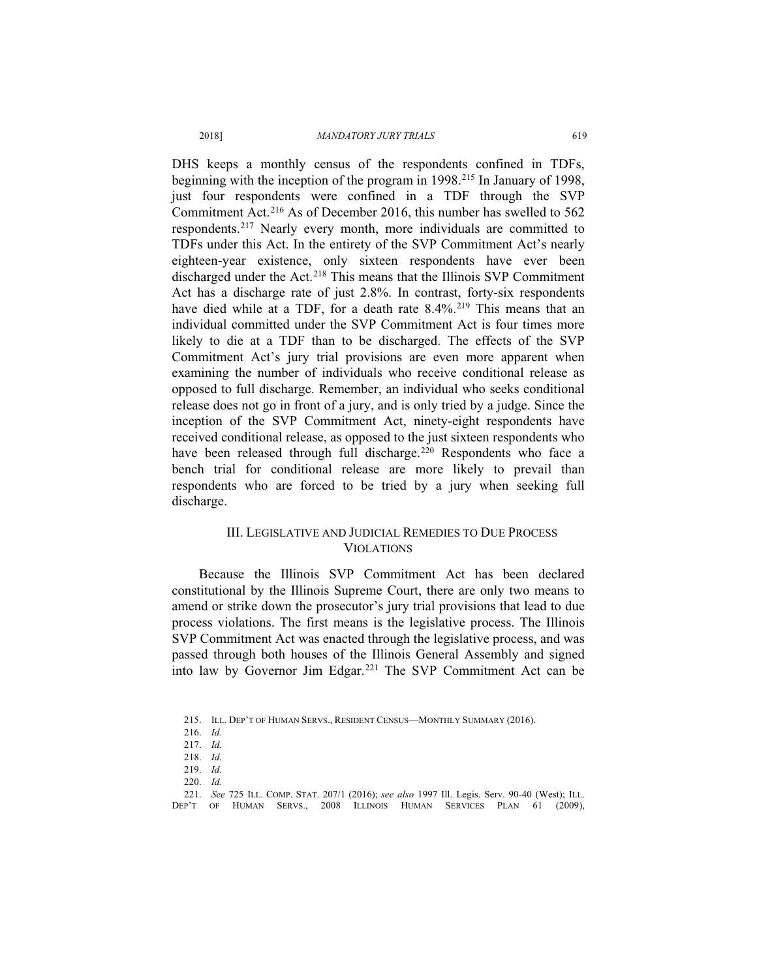#### 2018] *MANDATORY JURY TRIALS* 619

DHS keeps a monthly census of the respondents confined in TDFs, beginning with the inception of the program in 1998.<sup>215</sup> In January of 1998, just four respondents were confined in a TDF through the SVP Commitment Act.216 As of December 2016, this number has swelled to 562 respondents.217 Nearly every month, more individuals are committed to TDFs under this Act. In the entirety of the SVP Commitment Act's nearly eighteen-year existence, only sixteen respondents have ever been discharged under the Act.218 This means that the Illinois SVP Commitment Act has a discharge rate of just 2.8%. In contrast, forty-six respondents have died while at a TDF, for a death rate 8.4%.<sup>219</sup> This means that an individual committed under the SVP Commitment Act is four times more likely to die at a TDF than to be discharged. The effects of the SVP Commitment Act's jury trial provisions are even more apparent when examining the number of individuals who receive conditional release as opposed to full discharge. Remember, an individual who seeks conditional release does not go in front of a jury, and is only tried by a judge. Since the inception of the SVP Commitment Act, ninety-eight respondents have received conditional release, as opposed to the just sixteen respondents who have been released through full discharge.<sup>220</sup> Respondents who face a bench trial for conditional release are more likely to prevail than respondents who are forced to be tried by a jury when seeking full discharge.

## III. LEGISLATIVE AND JUDICIAL REMEDIES TO DUE PROCESS VIOLATIONS

Because the Illinois SVP Commitment Act has been declared constitutional by the Illinois Supreme Court, there are only two means to amend or strike down the prosecutor's jury trial provisions that lead to due process violations. The first means is the legislative process. The Illinois SVP Commitment Act was enacted through the legislative process, and was passed through both houses of the Illinois General Assembly and signed into law by Governor Jim Edgar.221 The SVP Commitment Act can be

<sup>215.</sup> ILL. DEP'T OF HUMAN SERVS., RESIDENT CENSUS—MONTHLY SUMMARY (2016).

<sup>216.</sup> *Id.*

<sup>217.</sup> *Id.*

<sup>218.</sup> *Id.*

<sup>219.</sup> *Id.*

<sup>220.</sup> *Id.*

<sup>221.</sup> *See* 725 ILL. COMP. STAT. 207/1 (2016); *see also* 1997 Ill. Legis. Serv. 90-40 (West); ILL. DEP'T OF HUMAN SERVS., 2008 ILLINOIS HUMAN SERVICES PLAN 61 (2009),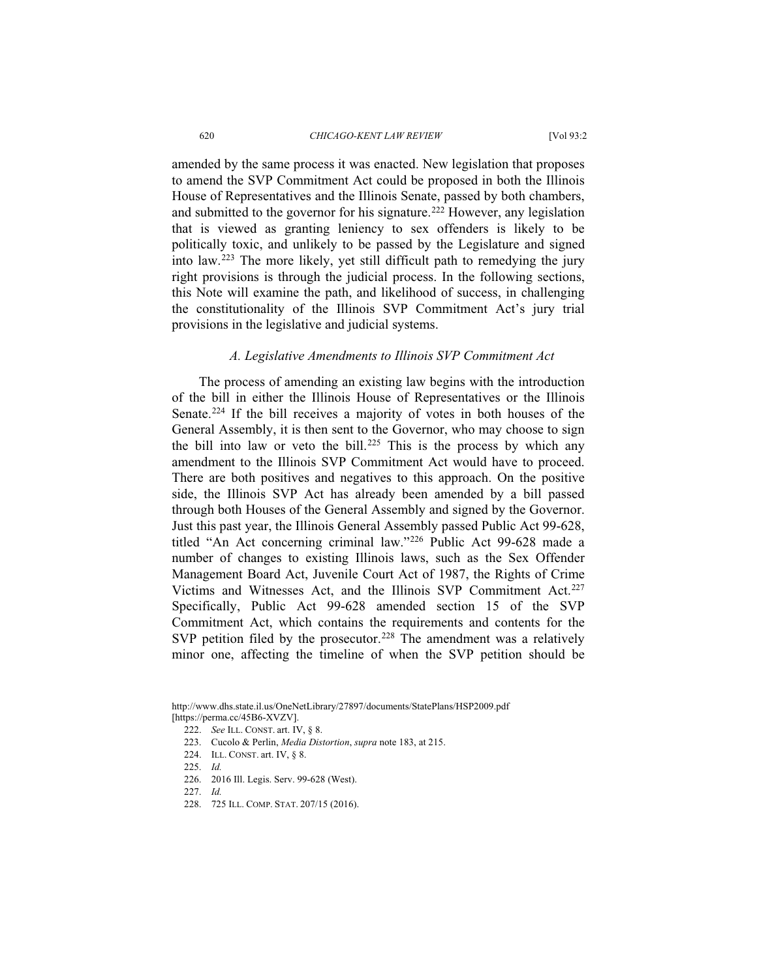amended by the same process it was enacted. New legislation that proposes to amend the SVP Commitment Act could be proposed in both the Illinois House of Representatives and the Illinois Senate, passed by both chambers, and submitted to the governor for his signature.<sup>222</sup> However, any legislation that is viewed as granting leniency to sex offenders is likely to be politically toxic, and unlikely to be passed by the Legislature and signed into law.223 The more likely, yet still difficult path to remedying the jury right provisions is through the judicial process. In the following sections, this Note will examine the path, and likelihood of success, in challenging the constitutionality of the Illinois SVP Commitment Act's jury trial provisions in the legislative and judicial systems.

## *A. Legislative Amendments to Illinois SVP Commitment Act*

The process of amending an existing law begins with the introduction of the bill in either the Illinois House of Representatives or the Illinois Senate.<sup>224</sup> If the bill receives a majority of votes in both houses of the General Assembly, it is then sent to the Governor, who may choose to sign the bill into law or veto the bill.<sup>225</sup> This is the process by which any amendment to the Illinois SVP Commitment Act would have to proceed. There are both positives and negatives to this approach. On the positive side, the Illinois SVP Act has already been amended by a bill passed through both Houses of the General Assembly and signed by the Governor. Just this past year, the Illinois General Assembly passed Public Act 99-628, titled "An Act concerning criminal law."226 Public Act 99-628 made a number of changes to existing Illinois laws, such as the Sex Offender Management Board Act, Juvenile Court Act of 1987, the Rights of Crime Victims and Witnesses Act, and the Illinois SVP Commitment Act.<sup>227</sup> Specifically, Public Act 99-628 amended section 15 of the SVP Commitment Act, which contains the requirements and contents for the SVP petition filed by the prosecutor.<sup>228</sup> The amendment was a relatively minor one, affecting the timeline of when the SVP petition should be

224. ILL. CONST. art. IV, § 8.

- 226. 2016 Ill. Legis. Serv. 99-628 (West).
- 227. *Id.*
- 228. 725 ILL. COMP. STAT. 207/15 (2016).

http://www.dhs.state.il.us/OneNetLibrary/27897/documents/StatePlans/HSP2009.pdf [https://perma.cc/45B6-XVZV].

<sup>222.</sup> *See* ILL. CONST. art. IV, § 8.

<sup>223.</sup> Cucolo & Perlin, *Media Distortion*, *supra* note 183, at 215.

<sup>225.</sup> *Id.*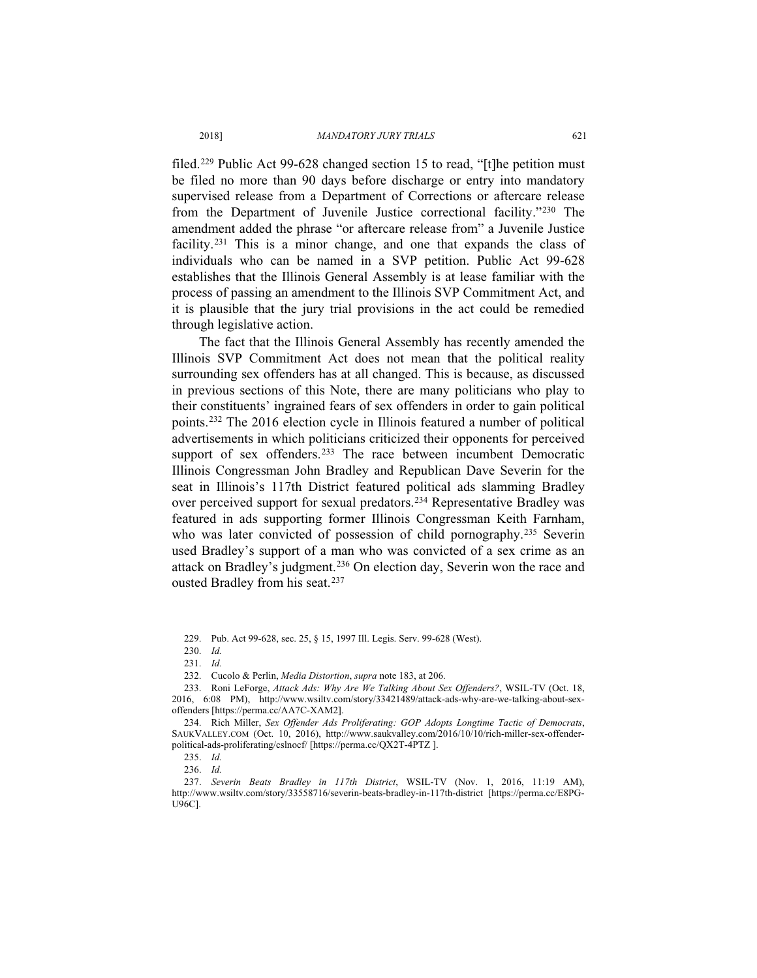filed.229 Public Act 99-628 changed section 15 to read, "[t]he petition must be filed no more than 90 days before discharge or entry into mandatory supervised release from a Department of Corrections or aftercare release from the Department of Juvenile Justice correctional facility."230 The amendment added the phrase "or aftercare release from" a Juvenile Justice facility.231 This is a minor change, and one that expands the class of individuals who can be named in a SVP petition. Public Act 99-628 establishes that the Illinois General Assembly is at lease familiar with the process of passing an amendment to the Illinois SVP Commitment Act, and it is plausible that the jury trial provisions in the act could be remedied through legislative action.

The fact that the Illinois General Assembly has recently amended the Illinois SVP Commitment Act does not mean that the political reality surrounding sex offenders has at all changed. This is because, as discussed in previous sections of this Note, there are many politicians who play to their constituents' ingrained fears of sex offenders in order to gain political points.232 The 2016 election cycle in Illinois featured a number of political advertisements in which politicians criticized their opponents for perceived support of sex offenders.<sup>233</sup> The race between incumbent Democratic Illinois Congressman John Bradley and Republican Dave Severin for the seat in Illinois's 117th District featured political ads slamming Bradley over perceived support for sexual predators.<sup>234</sup> Representative Bradley was featured in ads supporting former Illinois Congressman Keith Farnham, who was later convicted of possession of child pornography.<sup>235</sup> Severin used Bradley's support of a man who was convicted of a sex crime as an attack on Bradley's judgment.236 On election day, Severin won the race and ousted Bradley from his seat.<sup>237</sup>

232. Cucolo & Perlin, *Media Distortion*, *supra* note 183, at 206.

<sup>229.</sup> Pub. Act 99-628, sec. 25, § 15, 1997 Ill. Legis. Serv. 99-628 (West).

<sup>230.</sup> *Id.*

<sup>231.</sup> *Id.*

<sup>233.</sup> Roni LeForge, *Attack Ads: Why Are We Talking About Sex Offenders?*, WSIL-TV (Oct. 18, 2016, 6:08 PM), http://www.wsiltv.com/story/33421489/attack-ads-why-are-we-talking-about-sexoffenders [https://perma.cc/AA7C-XAM2].

<sup>234.</sup> Rich Miller, *Sex Offender Ads Proliferating: GOP Adopts Longtime Tactic of Democrats*, SAUKVALLEY.COM (Oct. 10, 2016), http://www.saukvalley.com/2016/10/10/rich-miller-sex-offenderpolitical-ads-proliferating/cslnocf/ [https://perma.cc/QX2T-4PTZ ].

<sup>235.</sup> *Id.*

<sup>236.</sup> *Id.*

<sup>237.</sup> *Severin Beats Bradley in 117th District*, WSIL-TV (Nov. 1, 2016, 11:19 AM), http://www.wsiltv.com/story/33558716/severin-beats-bradley-in-117th-district [https://perma.cc/E8PG-U96C].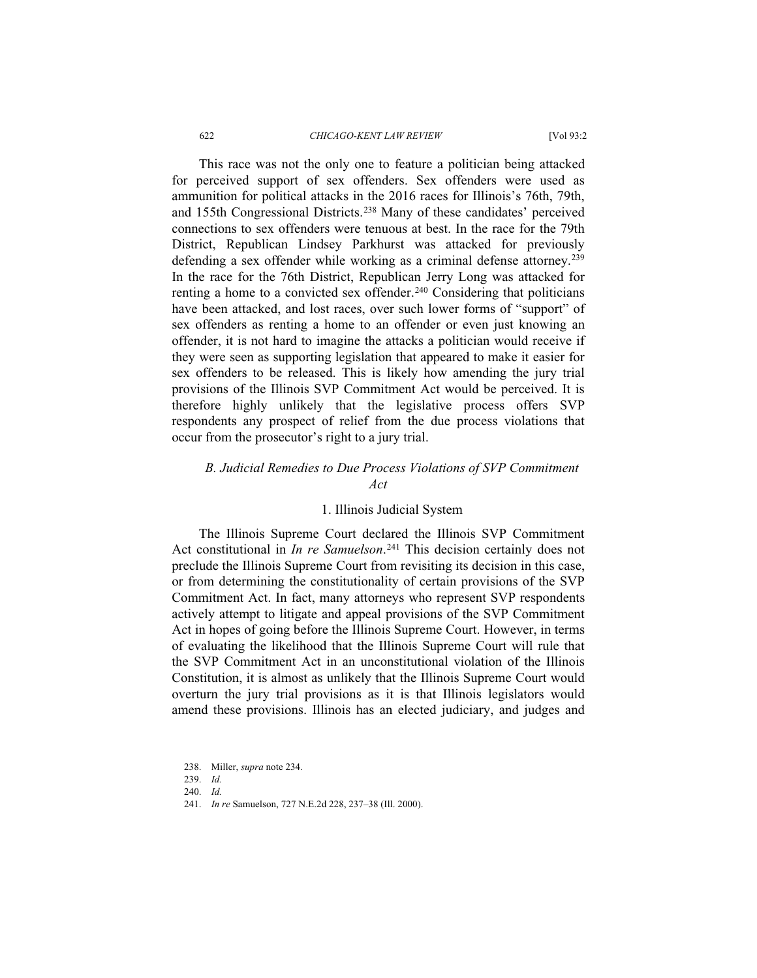#### 622 *CHICAGO-KENT LAW REVIEW* [Vol 93:2

This race was not the only one to feature a politician being attacked for perceived support of sex offenders. Sex offenders were used as ammunition for political attacks in the 2016 races for Illinois's 76th, 79th, and 155th Congressional Districts.<sup>238</sup> Many of these candidates' perceived connections to sex offenders were tenuous at best. In the race for the 79th District, Republican Lindsey Parkhurst was attacked for previously defending a sex offender while working as a criminal defense attorney.<sup>239</sup> In the race for the 76th District, Republican Jerry Long was attacked for renting a home to a convicted sex offender.<sup>240</sup> Considering that politicians have been attacked, and lost races, over such lower forms of "support" of sex offenders as renting a home to an offender or even just knowing an offender, it is not hard to imagine the attacks a politician would receive if they were seen as supporting legislation that appeared to make it easier for sex offenders to be released. This is likely how amending the jury trial provisions of the Illinois SVP Commitment Act would be perceived. It is therefore highly unlikely that the legislative process offers SVP respondents any prospect of relief from the due process violations that occur from the prosecutor's right to a jury trial.

## *B. Judicial Remedies to Due Process Violations of SVP Commitment Act*

## 1. Illinois Judicial System

The Illinois Supreme Court declared the Illinois SVP Commitment Act constitutional in *In re Samuelson*. <sup>241</sup> This decision certainly does not preclude the Illinois Supreme Court from revisiting its decision in this case, or from determining the constitutionality of certain provisions of the SVP Commitment Act. In fact, many attorneys who represent SVP respondents actively attempt to litigate and appeal provisions of the SVP Commitment Act in hopes of going before the Illinois Supreme Court. However, in terms of evaluating the likelihood that the Illinois Supreme Court will rule that the SVP Commitment Act in an unconstitutional violation of the Illinois Constitution, it is almost as unlikely that the Illinois Supreme Court would overturn the jury trial provisions as it is that Illinois legislators would amend these provisions. Illinois has an elected judiciary, and judges and

<sup>238.</sup> Miller, *supra* note 234.

<sup>239.</sup> *Id.*

<sup>240.</sup> *Id.*

<sup>241.</sup> *In re* Samuelson, 727 N.E.2d 228, 237–38 (Ill. 2000).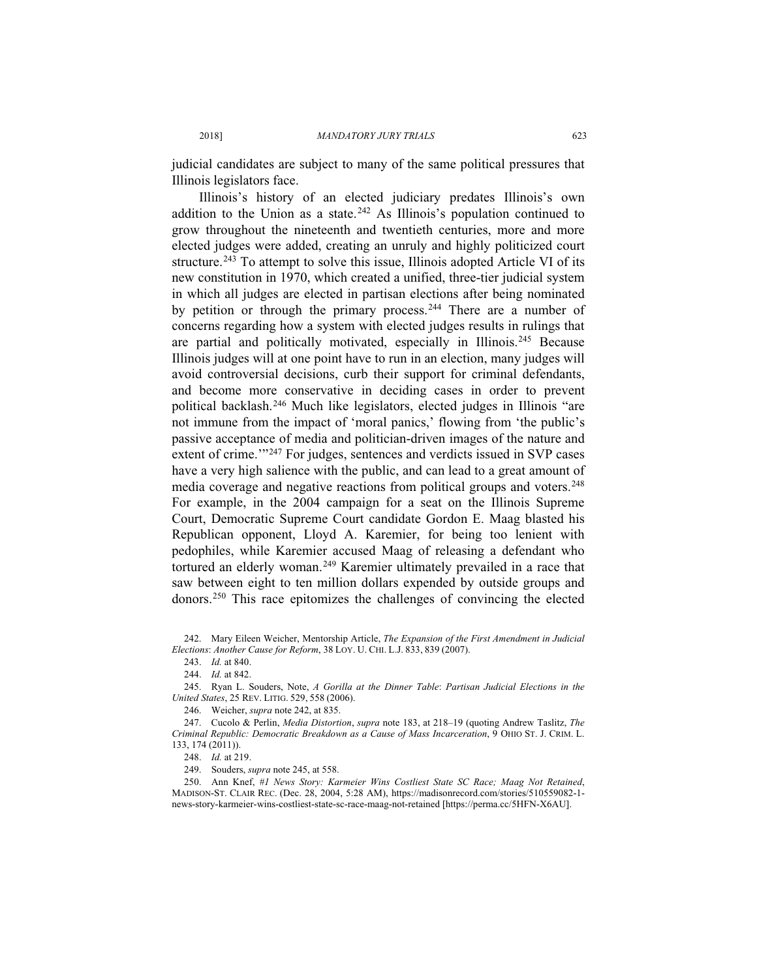judicial candidates are subject to many of the same political pressures that Illinois legislators face.

Illinois's history of an elected judiciary predates Illinois's own addition to the Union as a state.<sup>242</sup> As Illinois's population continued to grow throughout the nineteenth and twentieth centuries, more and more elected judges were added, creating an unruly and highly politicized court structure.<sup>243</sup> To attempt to solve this issue, Illinois adopted Article VI of its new constitution in 1970, which created a unified, three-tier judicial system in which all judges are elected in partisan elections after being nominated by petition or through the primary process.<sup>244</sup> There are a number of concerns regarding how a system with elected judges results in rulings that are partial and politically motivated, especially in Illinois.<sup>245</sup> Because Illinois judges will at one point have to run in an election, many judges will avoid controversial decisions, curb their support for criminal defendants, and become more conservative in deciding cases in order to prevent political backlash.246 Much like legislators, elected judges in Illinois "are not immune from the impact of 'moral panics,' flowing from 'the public's passive acceptance of media and politician-driven images of the nature and extent of crime.<sup>'"247</sup> For judges, sentences and verdicts issued in SVP cases have a very high salience with the public, and can lead to a great amount of media coverage and negative reactions from political groups and voters.<sup>248</sup> For example, in the 2004 campaign for a seat on the Illinois Supreme Court, Democratic Supreme Court candidate Gordon E. Maag blasted his Republican opponent, Lloyd A. Karemier, for being too lenient with pedophiles, while Karemier accused Maag of releasing a defendant who tortured an elderly woman.<sup>249</sup> Karemier ultimately prevailed in a race that saw between eight to ten million dollars expended by outside groups and donors.250 This race epitomizes the challenges of convincing the elected

242. Mary Eileen Weicher, Mentorship Article, *The Expansion of the First Amendment in Judicial Elections*: *Another Cause for Reform*, 38 LOY. U. CHI. L.J. 833, 839 (2007).

243. *Id.* at 840.

244. *Id.* at 842.

245. Ryan L. Souders, Note, *A Gorilla at the Dinner Table*: *Partisan Judicial Elections in the United States*, 25 REV. LITIG. 529, 558 (2006).

246. Weicher, *supra* note 242, at 835.

247. Cucolo & Perlin, *Media Distortion*, *supra* note 183, at 218–19 (quoting Andrew Taslitz, *The Criminal Republic: Democratic Breakdown as a Cause of Mass Incarceration*, 9 OHIO ST. J. CRIM. L. 133, 174 (2011)).

248. *Id.* at 219.

249. Souders, *supra* note 245, at 558.

250. Ann Knef, *#1 News Story: Karmeier Wins Costliest State SC Race; Maag Not Retained*, MADISON-ST. CLAIR REC. (Dec. 28, 2004, 5:28 AM), https://madisonrecord.com/stories/510559082-1 news-story-karmeier-wins-costliest-state-sc-race-maag-not-retained [https://perma.cc/5HFN-X6AU].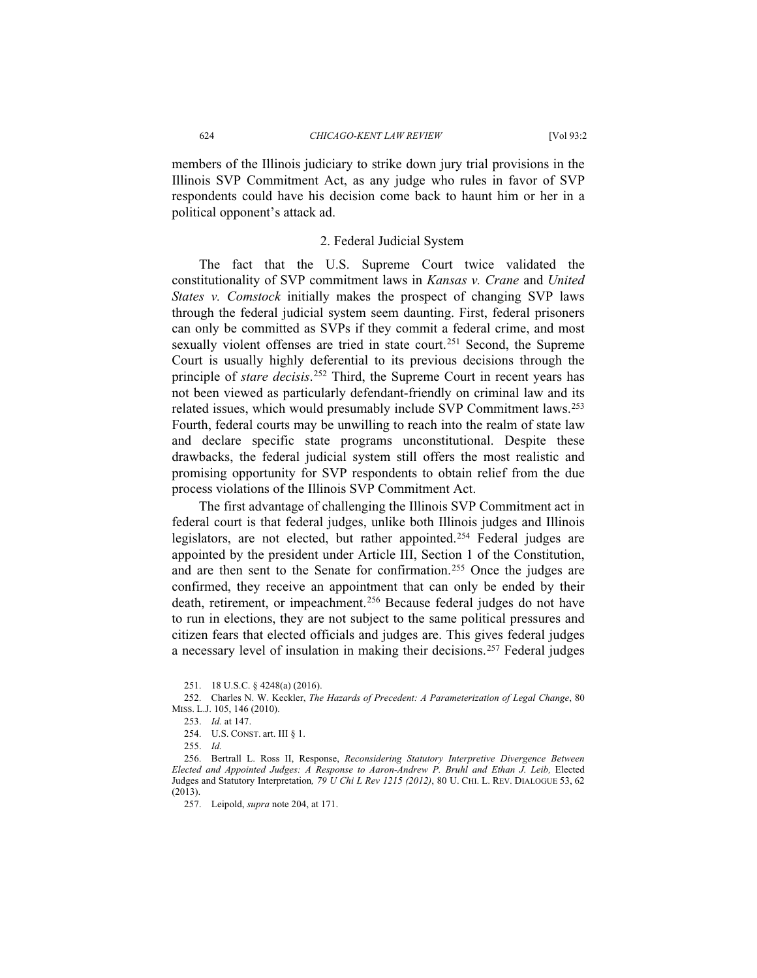members of the Illinois judiciary to strike down jury trial provisions in the Illinois SVP Commitment Act, as any judge who rules in favor of SVP respondents could have his decision come back to haunt him or her in a political opponent's attack ad.

#### 2. Federal Judicial System

The fact that the U.S. Supreme Court twice validated the constitutionality of SVP commitment laws in *Kansas v. Crane* and *United States v. Comstock* initially makes the prospect of changing SVP laws through the federal judicial system seem daunting. First, federal prisoners can only be committed as SVPs if they commit a federal crime, and most sexually violent offenses are tried in state court.<sup>251</sup> Second, the Supreme Court is usually highly deferential to its previous decisions through the principle of *stare decisis*. <sup>252</sup> Third, the Supreme Court in recent years has not been viewed as particularly defendant-friendly on criminal law and its related issues, which would presumably include SVP Commitment laws.253 Fourth, federal courts may be unwilling to reach into the realm of state law and declare specific state programs unconstitutional. Despite these drawbacks, the federal judicial system still offers the most realistic and promising opportunity for SVP respondents to obtain relief from the due process violations of the Illinois SVP Commitment Act.

The first advantage of challenging the Illinois SVP Commitment act in federal court is that federal judges, unlike both Illinois judges and Illinois legislators, are not elected, but rather appointed.<sup>254</sup> Federal judges are appointed by the president under Article III, Section 1 of the Constitution, and are then sent to the Senate for confirmation.<sup>255</sup> Once the judges are confirmed, they receive an appointment that can only be ended by their death, retirement, or impeachment.256 Because federal judges do not have to run in elections, they are not subject to the same political pressures and citizen fears that elected officials and judges are. This gives federal judges a necessary level of insulation in making their decisions.257 Federal judges

256. Bertrall L. Ross II, Response, *Reconsidering Statutory Interpretive Divergence Between Elected and Appointed Judges: A Response to Aaron-Andrew P. Bruhl and Ethan J. Leib,* Elected Judges and Statutory Interpretation*, 79 U Chi L Rev 1215 (2012)*, 80 U. CHI. L. REV. DIALOGUE 53, 62 (2013).

257. Leipold, *supra* note 204, at 171.

<sup>251. 18</sup> U.S.C. § 4248(a) (2016).

<sup>252.</sup> Charles N. W. Keckler, *The Hazards of Precedent: A Parameterization of Legal Change*, 80 MISS. L.J. 105, 146 (2010).

<sup>253.</sup> *Id.* at 147.

<sup>254.</sup> U.S. CONST. art. III § 1.

<sup>255.</sup> *Id.*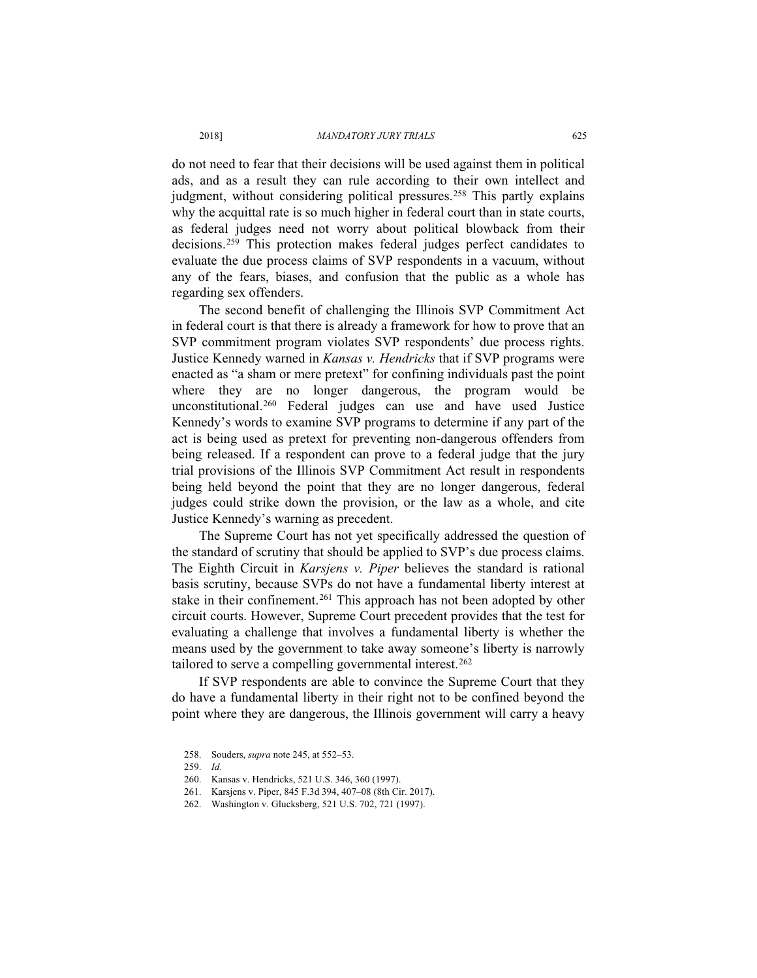do not need to fear that their decisions will be used against them in political ads, and as a result they can rule according to their own intellect and judgment, without considering political pressures.<sup>258</sup> This partly explains why the acquittal rate is so much higher in federal court than in state courts,

as federal judges need not worry about political blowback from their decisions.259 This protection makes federal judges perfect candidates to evaluate the due process claims of SVP respondents in a vacuum, without any of the fears, biases, and confusion that the public as a whole has regarding sex offenders.

The second benefit of challenging the Illinois SVP Commitment Act in federal court is that there is already a framework for how to prove that an SVP commitment program violates SVP respondents' due process rights. Justice Kennedy warned in *Kansas v. Hendricks* that if SVP programs were enacted as "a sham or mere pretext" for confining individuals past the point where they are no longer dangerous, the program would be unconstitutional.260 Federal judges can use and have used Justice Kennedy's words to examine SVP programs to determine if any part of the act is being used as pretext for preventing non-dangerous offenders from being released. If a respondent can prove to a federal judge that the jury trial provisions of the Illinois SVP Commitment Act result in respondents being held beyond the point that they are no longer dangerous, federal judges could strike down the provision, or the law as a whole, and cite Justice Kennedy's warning as precedent.

The Supreme Court has not yet specifically addressed the question of the standard of scrutiny that should be applied to SVP's due process claims. The Eighth Circuit in *Karsjens v. Piper* believes the standard is rational basis scrutiny, because SVPs do not have a fundamental liberty interest at stake in their confinement.<sup>261</sup> This approach has not been adopted by other circuit courts. However, Supreme Court precedent provides that the test for evaluating a challenge that involves a fundamental liberty is whether the means used by the government to take away someone's liberty is narrowly tailored to serve a compelling governmental interest.<sup>262</sup>

If SVP respondents are able to convince the Supreme Court that they do have a fundamental liberty in their right not to be confined beyond the point where they are dangerous, the Illinois government will carry a heavy

262. Washington v. Glucksberg, 521 U.S. 702, 721 (1997).

<sup>258.</sup> Souders, *supra* note 245, at 552–53.

<sup>259.</sup> *Id.*

<sup>260.</sup> Kansas v. Hendricks, 521 U.S. 346, 360 (1997).

<sup>261.</sup> Karsjens v. Piper, 845 F.3d 394, 407–08 (8th Cir. 2017).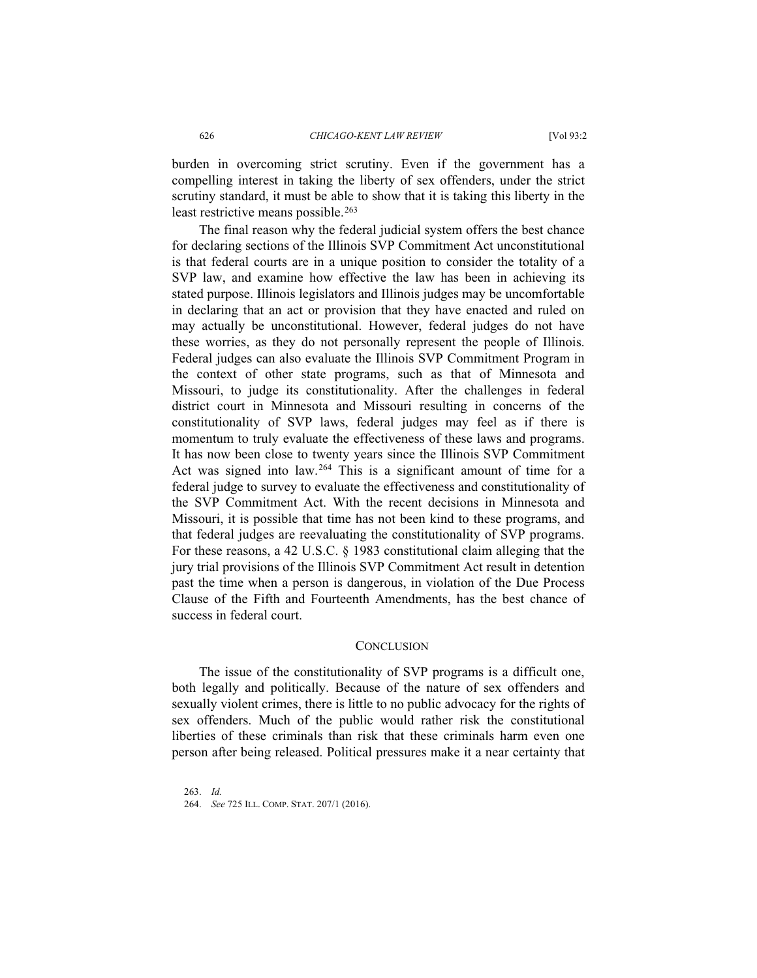burden in overcoming strict scrutiny. Even if the government has a compelling interest in taking the liberty of sex offenders, under the strict scrutiny standard, it must be able to show that it is taking this liberty in the least restrictive means possible.<sup>263</sup>

The final reason why the federal judicial system offers the best chance for declaring sections of the Illinois SVP Commitment Act unconstitutional is that federal courts are in a unique position to consider the totality of a SVP law, and examine how effective the law has been in achieving its stated purpose. Illinois legislators and Illinois judges may be uncomfortable in declaring that an act or provision that they have enacted and ruled on may actually be unconstitutional. However, federal judges do not have these worries, as they do not personally represent the people of Illinois. Federal judges can also evaluate the Illinois SVP Commitment Program in the context of other state programs, such as that of Minnesota and Missouri, to judge its constitutionality. After the challenges in federal district court in Minnesota and Missouri resulting in concerns of the constitutionality of SVP laws, federal judges may feel as if there is momentum to truly evaluate the effectiveness of these laws and programs. It has now been close to twenty years since the Illinois SVP Commitment Act was signed into law.264 This is a significant amount of time for a federal judge to survey to evaluate the effectiveness and constitutionality of the SVP Commitment Act. With the recent decisions in Minnesota and Missouri, it is possible that time has not been kind to these programs, and that federal judges are reevaluating the constitutionality of SVP programs. For these reasons, a 42 U.S.C. § 1983 constitutional claim alleging that the jury trial provisions of the Illinois SVP Commitment Act result in detention past the time when a person is dangerous, in violation of the Due Process Clause of the Fifth and Fourteenth Amendments, has the best chance of success in federal court.

#### **CONCLUSION**

The issue of the constitutionality of SVP programs is a difficult one, both legally and politically. Because of the nature of sex offenders and sexually violent crimes, there is little to no public advocacy for the rights of sex offenders. Much of the public would rather risk the constitutional liberties of these criminals than risk that these criminals harm even one person after being released. Political pressures make it a near certainty that

<sup>263.</sup> *Id.* 264. *See* 725 ILL. COMP. STAT. 207/1 (2016).